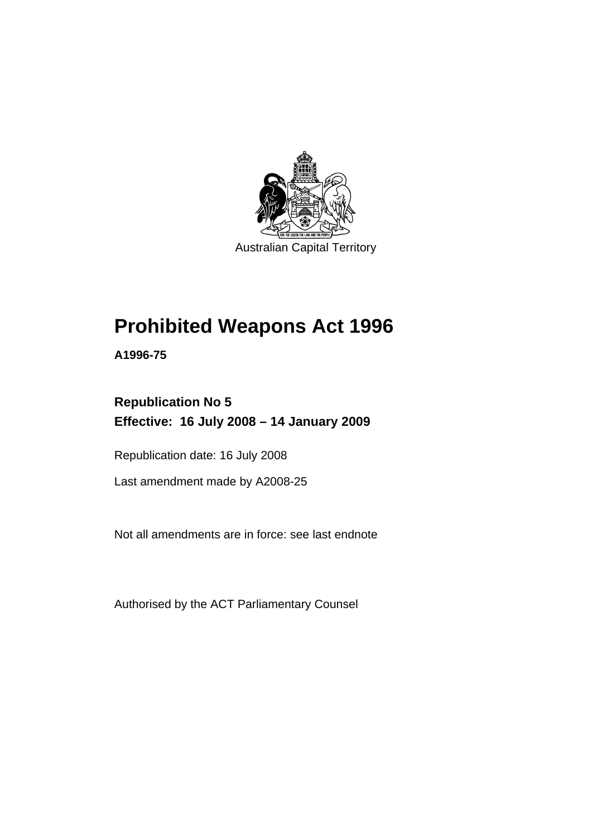

# **[Prohibited Weapons Act 1996](#page-6-0)**

**A1996-75** 

## **Republication No 5 Effective: 16 July 2008 – 14 January 2009**

Republication date: 16 July 2008

Last amendment made by A2008-25

Not all amendments are in force: see last endnote

Authorised by the ACT Parliamentary Counsel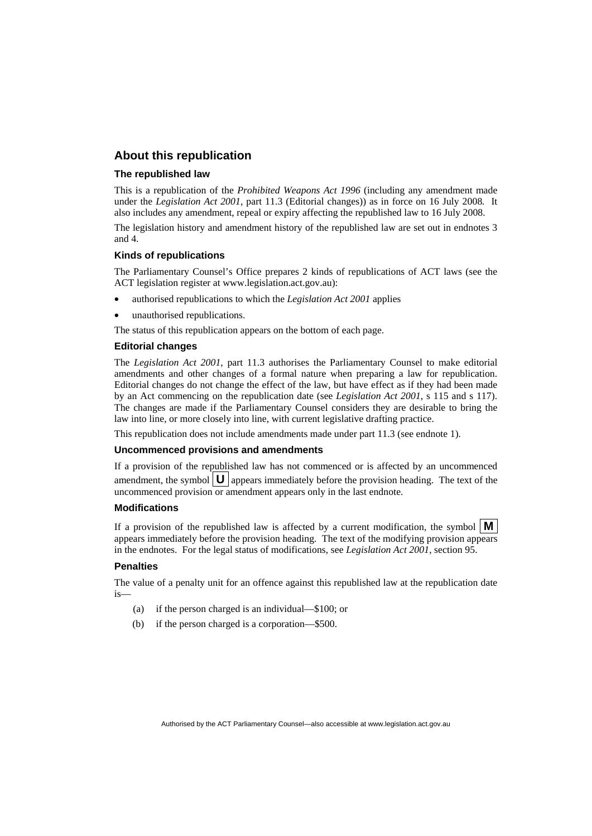## **About this republication**

#### **The republished law**

This is a republication of the *Prohibited Weapons Act 1996* (including any amendment made under the *Legislation Act 2001*, part 11.3 (Editorial changes)) as in force on 16 July 2008*.* It also includes any amendment, repeal or expiry affecting the republished law to 16 July 2008.

The legislation history and amendment history of the republished law are set out in endnotes 3 and 4.

#### **Kinds of republications**

The Parliamentary Counsel's Office prepares 2 kinds of republications of ACT laws (see the ACT legislation register at www.legislation.act.gov.au):

- authorised republications to which the *Legislation Act 2001* applies
- unauthorised republications.

The status of this republication appears on the bottom of each page.

#### **Editorial changes**

The *Legislation Act 2001*, part 11.3 authorises the Parliamentary Counsel to make editorial amendments and other changes of a formal nature when preparing a law for republication. Editorial changes do not change the effect of the law, but have effect as if they had been made by an Act commencing on the republication date (see *Legislation Act 2001*, s 115 and s 117). The changes are made if the Parliamentary Counsel considers they are desirable to bring the law into line, or more closely into line, with current legislative drafting practice.

This republication does not include amendments made under part 11.3 (see endnote 1).

### **Uncommenced provisions and amendments**

If a provision of the republished law has not commenced or is affected by an uncommenced amendment, the symbol  $\mathbf{U}$  appears immediately before the provision heading. The text of the uncommenced provision or amendment appears only in the last endnote.

#### **Modifications**

If a provision of the republished law is affected by a current modification, the symbol  $\mathbf{M}$ appears immediately before the provision heading. The text of the modifying provision appears in the endnotes. For the legal status of modifications, see *Legislation Act 2001*, section 95.

#### **Penalties**

The value of a penalty unit for an offence against this republished law at the republication date is—

- (a) if the person charged is an individual—\$100; or
- (b) if the person charged is a corporation—\$500.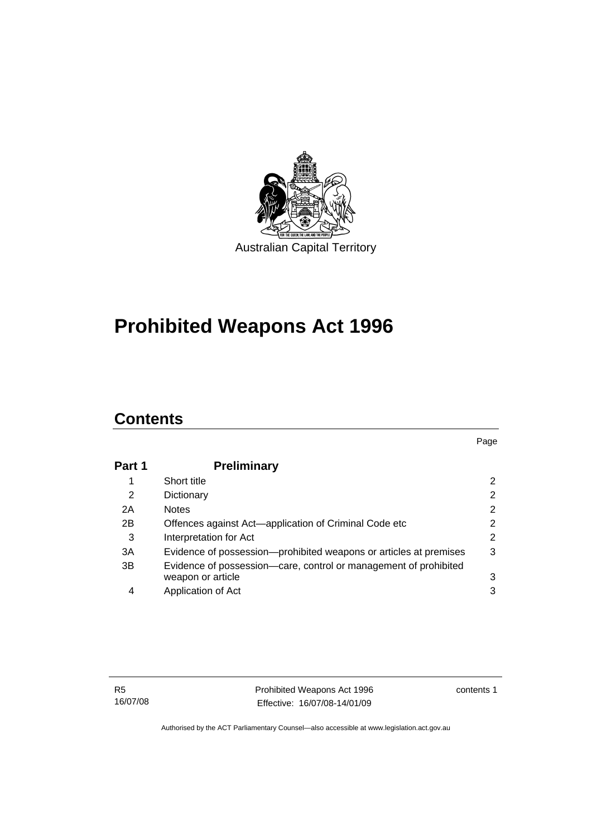

# **[Prohibited Weapons Act 1996](#page-6-0)**

## **Contents**

| Part 1 | <b>Preliminary</b>                                                |                |
|--------|-------------------------------------------------------------------|----------------|
|        | Short title                                                       | 2              |
| 2      | Dictionary                                                        | $\overline{2}$ |
| 2A     | <b>Notes</b>                                                      | $\overline{2}$ |
| 2B     | Offences against Act-application of Criminal Code etc             | 2              |
| 3      | Interpretation for Act                                            | $\overline{2}$ |
| 3A     | Evidence of possession—prohibited weapons or articles at premises | 3              |
| 3B     | Evidence of possession-care, control or management of prohibited  |                |
|        | weapon or article                                                 | 3              |
| 4      | Application of Act                                                | 3              |

contents 1

Page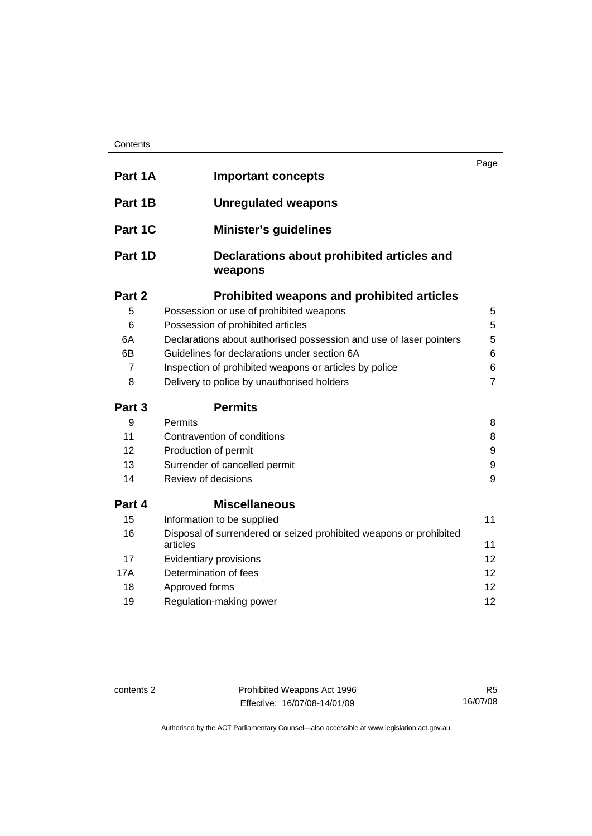| Contents |
|----------|
|----------|

| Part 1A        | <b>Important concepts</b>                                                      | Page           |
|----------------|--------------------------------------------------------------------------------|----------------|
|                |                                                                                |                |
| Part 1B        | <b>Unregulated weapons</b>                                                     |                |
| Part 1C        | <b>Minister's guidelines</b>                                                   |                |
| Part 1D        | Declarations about prohibited articles and<br>weapons                          |                |
| Part 2         | <b>Prohibited weapons and prohibited articles</b>                              |                |
| 5              | Possession or use of prohibited weapons                                        | 5              |
| 6              | Possession of prohibited articles                                              | 5              |
| 6A             | Declarations about authorised possession and use of laser pointers             | 5              |
| 6B             | Guidelines for declarations under section 6A                                   | 6              |
| $\overline{7}$ | Inspection of prohibited weapons or articles by police                         |                |
| 8              | Delivery to police by unauthorised holders                                     | $\overline{7}$ |
| Part 3         | <b>Permits</b>                                                                 |                |
| 9              | <b>Permits</b>                                                                 | 8              |
| 11             | Contravention of conditions                                                    | 8              |
| 12             | Production of permit                                                           | 9              |
| 13             | Surrender of cancelled permit                                                  | 9              |
| 14             | Review of decisions                                                            | 9              |
| Part 4         | <b>Miscellaneous</b>                                                           |                |
| 15             | Information to be supplied                                                     | 11             |
| 16             | Disposal of surrendered or seized prohibited weapons or prohibited<br>articles | 11             |
| 17             | Evidentiary provisions                                                         | 12             |
| 17A            | Determination of fees                                                          | 12             |
| 18             | Approved forms                                                                 | 12             |
| 19             | Regulation-making power                                                        | 12             |

contents 2 **Prohibited Weapons Act 1996** Effective: 16/07/08-14/01/09

R5 16/07/08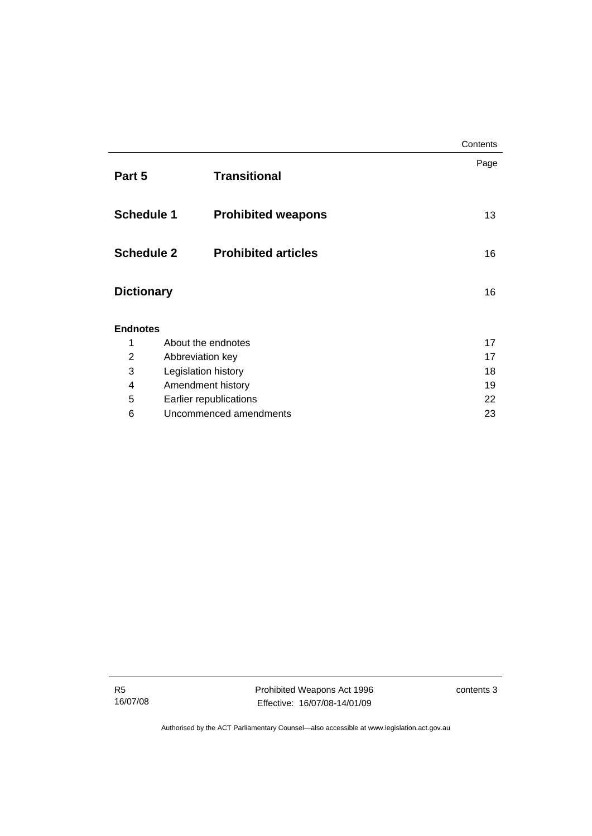|                   |                            | Contents |
|-------------------|----------------------------|----------|
| Part 5            | <b>Transitional</b>        | Page     |
| <b>Schedule 1</b> | <b>Prohibited weapons</b>  | 13       |
| <b>Schedule 2</b> | <b>Prohibited articles</b> | 16       |
| <b>Dictionary</b> |                            | 16       |
| <b>Endnotes</b>   |                            |          |
| 1                 | About the endnotes         | 17       |
| $\overline{2}$    | Abbreviation key           | 17       |
| 3                 | Legislation history        | 18       |
| 4                 | Amendment history          | 19       |
| 5                 | Earlier republications     | 22       |
| 6                 | Uncommenced amendments     | 23       |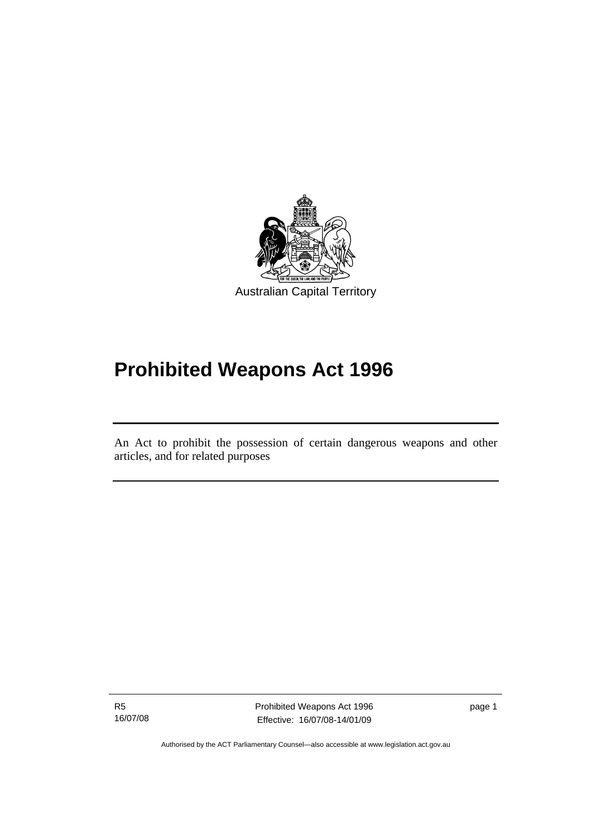<span id="page-6-0"></span>

# **Prohibited Weapons Act 1996**

An Act to prohibit the possession of certain dangerous weapons and other articles, and for related purposes

R5 16/07/08

֖֚֚֚֬

Prohibited Weapons Act 1996 Effective: 16/07/08-14/01/09

page 1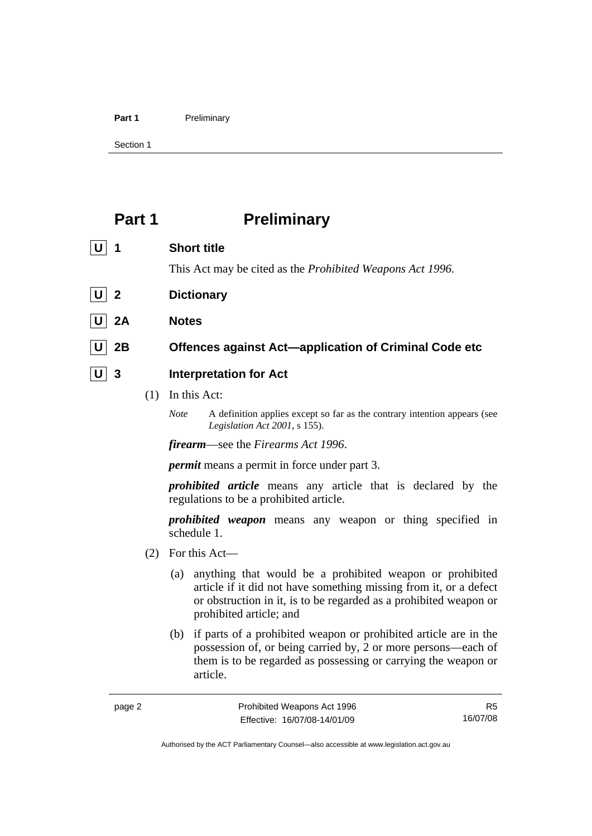<span id="page-7-0"></span>

Section 1

## **Part 1** Preliminary

| 1       | <b>Short title</b>                                                |
|---------|-------------------------------------------------------------------|
|         | This Act may be cited as the <i>Prohibited Weapons Act 1996</i> . |
| $U$   2 | <b>Dictionary</b>                                                 |
| 2A      | <b>Notes</b>                                                      |
| 2Β      | Offences against Act-application of Criminal Code etc             |
| 3       | <b>Interpretation for Act</b>                                     |

- (1) In this Act:
	- *Note* A definition applies except so far as the contrary intention appears (see *Legislation Act 2001*, s 155).

*firearm*—see the *Firearms Act 1996*.

*permit* means a permit in force under part 3.

*prohibited article* means any article that is declared by the regulations to be a prohibited article.

*prohibited weapon* means any weapon or thing specified in schedule 1.

- (2) For this Act—
	- (a) anything that would be a prohibited weapon or prohibited article if it did not have something missing from it, or a defect or obstruction in it, is to be regarded as a prohibited weapon or prohibited article; and
	- (b) if parts of a prohibited weapon or prohibited article are in the possession of, or being carried by, 2 or more persons—each of them is to be regarded as possessing or carrying the weapon or article.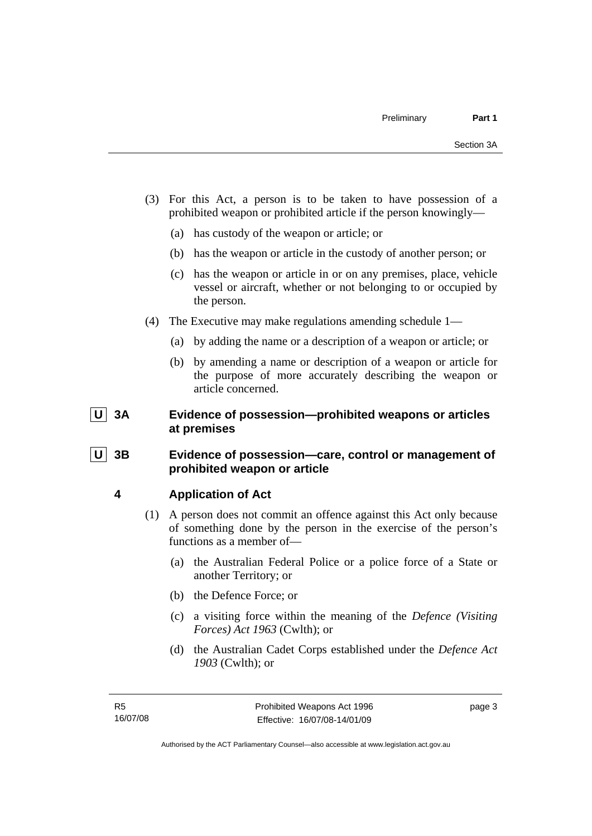- <span id="page-8-0"></span> (3) For this Act, a person is to be taken to have possession of a prohibited weapon or prohibited article if the person knowingly—
	- (a) has custody of the weapon or article; or
	- (b) has the weapon or article in the custody of another person; or
	- (c) has the weapon or article in or on any premises, place, vehicle vessel or aircraft, whether or not belonging to or occupied by the person.
- (4) The Executive may make regulations amending schedule 1—
	- (a) by adding the name or a description of a weapon or article; or
	- (b) by amending a name or description of a weapon or article for the purpose of more accurately describing the weapon or article concerned.

## **U 3A Evidence of possession—prohibited weapons or articles at premises**

## **U 3B Evidence of possession—care, control or management of prohibited weapon or article**

## **4 Application of Act**

- (1) A person does not commit an offence against this Act only because of something done by the person in the exercise of the person's functions as a member of—
	- (a) the Australian Federal Police or a police force of a State or another Territory; or
	- (b) the Defence Force; or
	- (c) a visiting force within the meaning of the *Defence (Visiting Forces) Act 1963* (Cwlth); or
	- (d) the Australian Cadet Corps established under the *Defence Act 1903* (Cwlth); or

page 3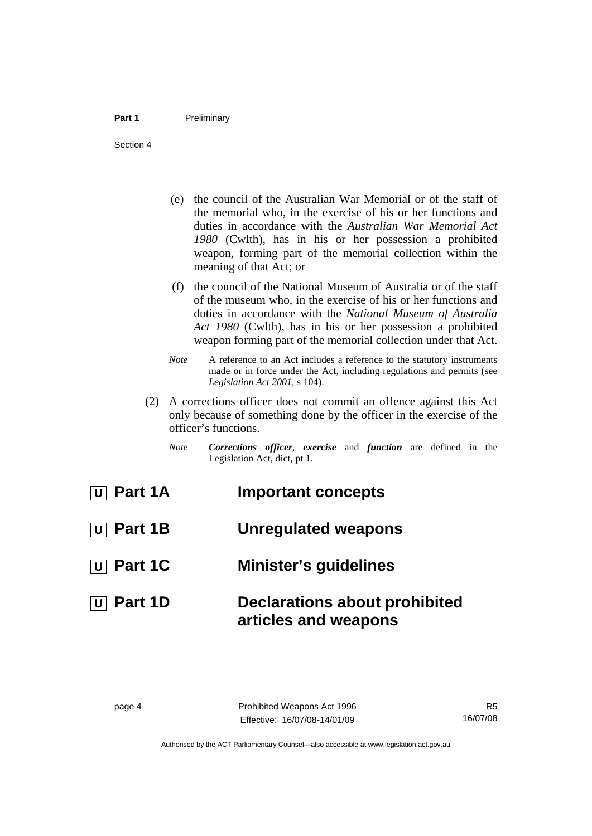- (e) the council of the Australian War Memorial or of the staff of the memorial who, in the exercise of his or her functions and duties in accordance with the *Australian War Memorial Act 1980* (Cwlth), has in his or her possession a prohibited weapon, forming part of the memorial collection within the meaning of that Act; or
- (f) the council of the National Museum of Australia or of the staff of the museum who, in the exercise of his or her functions and duties in accordance with the *National Museum of Australia Act 1980* (Cwlth), has in his or her possession a prohibited weapon forming part of the memorial collection under that Act.
- *Note* A reference to an Act includes a reference to the statutory instruments made or in force under the Act, including regulations and permits (see *Legislation Act 2001*, s 104).
- (2) A corrections officer does not commit an offence against this Act only because of something done by the officer in the exercise of the officer's functions.
	- *Note Corrections officer*, *exercise* and *function* are defined in the Legislation Act, dict, pt 1.

| $\boxed{\mathsf{U}}$ Part 1A | <b>Important concepts</b>                                    |
|------------------------------|--------------------------------------------------------------|
| $\boxed{\mathsf{U}}$ Part 1B | <b>Unregulated weapons</b>                                   |
| $\boxed{U}$ Part 1C          | <b>Minister's guidelines</b>                                 |
| $\boxed{\mathsf{U}}$ Part 1D | <b>Declarations about prohibited</b><br>articles and weapons |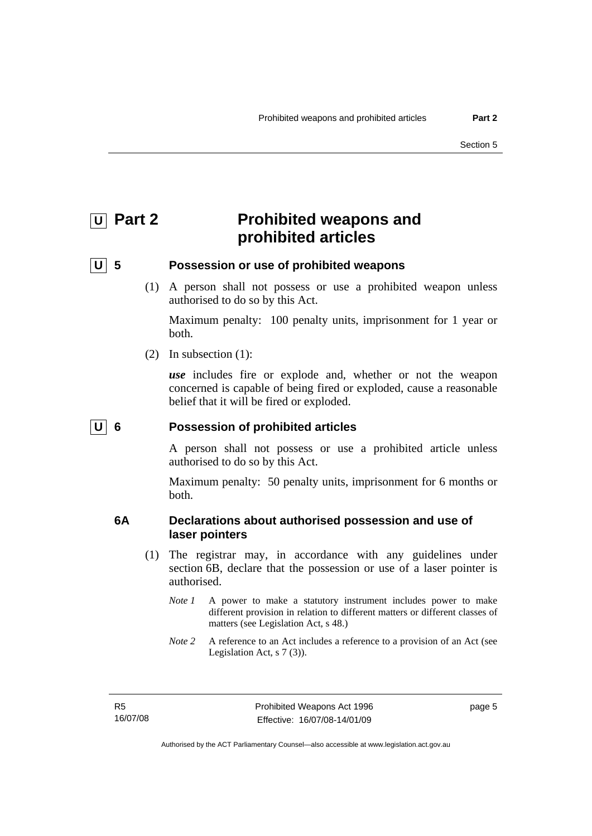## <span id="page-10-0"></span>**U** Part 2 **Prohibited weapons and prohibited articles**

## **U 5 Possession or use of prohibited weapons**

 (1) A person shall not possess or use a prohibited weapon unless authorised to do so by this Act.

Maximum penalty: 100 penalty units, imprisonment for 1 year or both.

(2) In subsection (1):

*use* includes fire or explode and, whether or not the weapon concerned is capable of being fired or exploded, cause a reasonable belief that it will be fired or exploded.

## **U 6 Possession of prohibited articles**

A person shall not possess or use a prohibited article unless authorised to do so by this Act.

Maximum penalty: 50 penalty units, imprisonment for 6 months or both.

## **6A Declarations about authorised possession and use of laser pointers**

- (1) The registrar may, in accordance with any guidelines under section 6B, declare that the possession or use of a laser pointer is authorised.
	- *Note 1* A power to make a statutory instrument includes power to make different provision in relation to different matters or different classes of matters (see Legislation Act, s 48.)
	- *Note* 2 A reference to an Act includes a reference to a provision of an Act (see Legislation Act, s 7 (3)).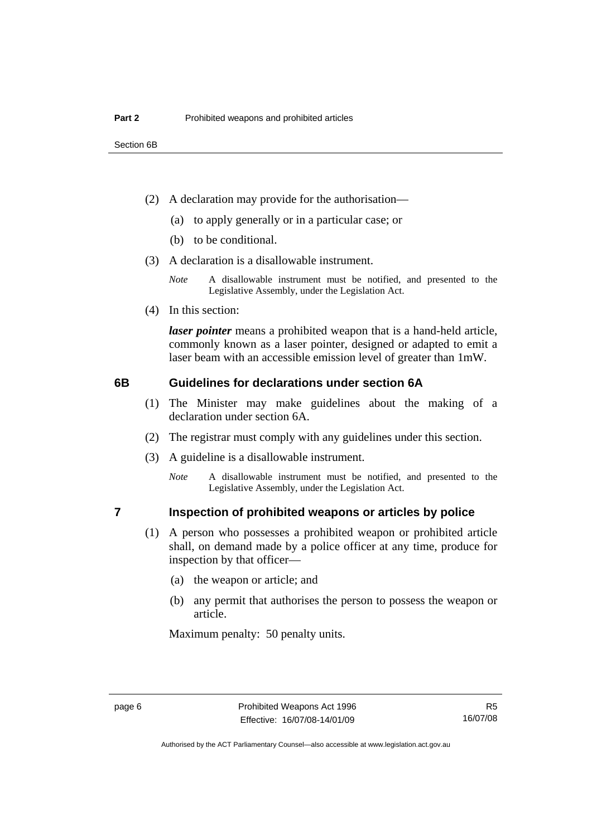- <span id="page-11-0"></span> (2) A declaration may provide for the authorisation—
	- (a) to apply generally or in a particular case; or
	- (b) to be conditional.
- (3) A declaration is a disallowable instrument.

*Note* A disallowable instrument must be notified, and presented to the Legislative Assembly, under the Legislation Act.

(4) In this section:

*laser pointer* means a prohibited weapon that is a hand-held article, commonly known as a laser pointer, designed or adapted to emit a laser beam with an accessible emission level of greater than 1mW.

### **6B Guidelines for declarations under section 6A**

- (1) The Minister may make guidelines about the making of a declaration under section 6A.
- (2) The registrar must comply with any guidelines under this section.
- (3) A guideline is a disallowable instrument.
	- *Note* A disallowable instrument must be notified, and presented to the Legislative Assembly, under the Legislation Act.

## **7 Inspection of prohibited weapons or articles by police**

- (1) A person who possesses a prohibited weapon or prohibited article shall, on demand made by a police officer at any time, produce for inspection by that officer—
	- (a) the weapon or article; and
	- (b) any permit that authorises the person to possess the weapon or article.

Maximum penalty: 50 penalty units.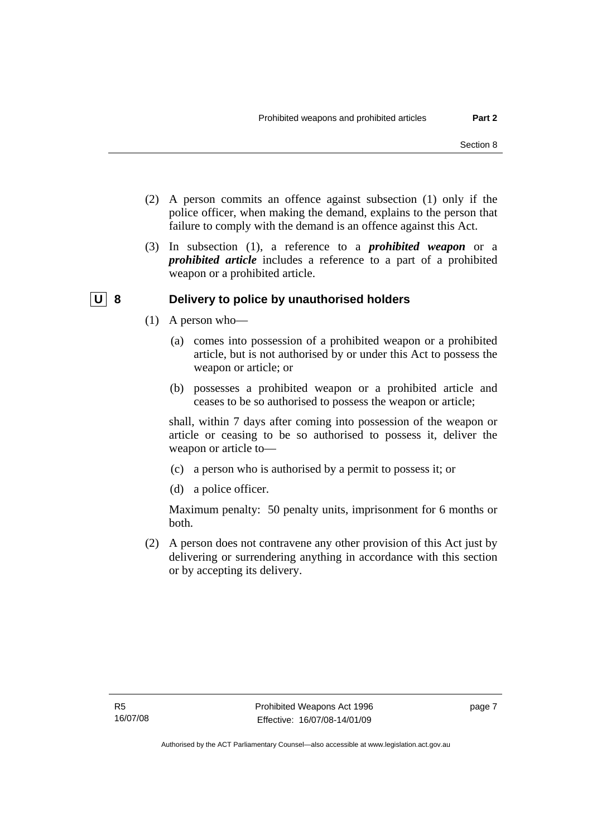- <span id="page-12-0"></span> (2) A person commits an offence against subsection (1) only if the police officer, when making the demand, explains to the person that failure to comply with the demand is an offence against this Act.
- (3) In subsection (1), a reference to a *prohibited weapon* or a *prohibited article* includes a reference to a part of a prohibited weapon or a prohibited article.

## **U** 8 Delivery to police by unauthorised holders

- (1) A person who—
	- (a) comes into possession of a prohibited weapon or a prohibited article, but is not authorised by or under this Act to possess the weapon or article; or
	- (b) possesses a prohibited weapon or a prohibited article and ceases to be so authorised to possess the weapon or article;

shall, within 7 days after coming into possession of the weapon or article or ceasing to be so authorised to possess it, deliver the weapon or article to—

- (c) a person who is authorised by a permit to possess it; or
- (d) a police officer.

Maximum penalty: 50 penalty units, imprisonment for 6 months or both.

 (2) A person does not contravene any other provision of this Act just by delivering or surrendering anything in accordance with this section or by accepting its delivery.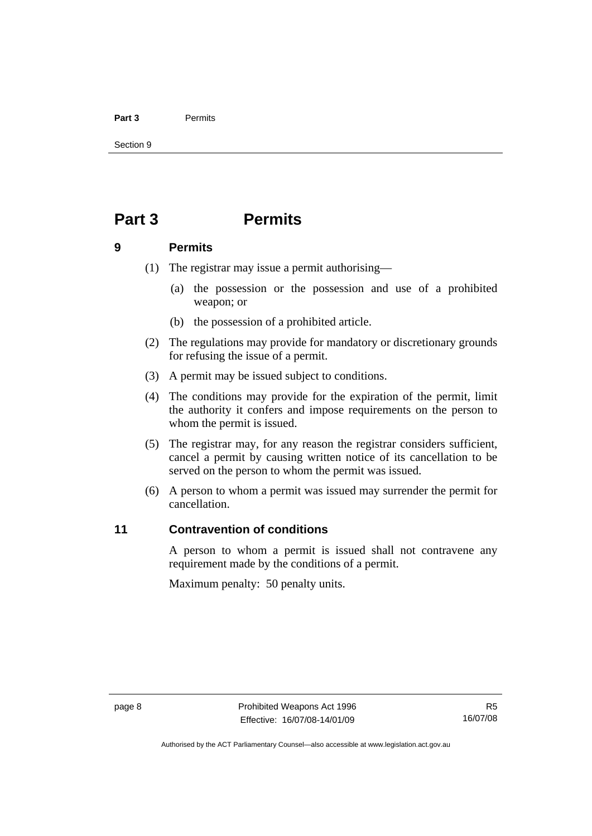#### <span id="page-13-0"></span>**Part 3** Permits

Section 9

## **Part 3 Permits**

### **9 Permits**

- (1) The registrar may issue a permit authorising—
	- (a) the possession or the possession and use of a prohibited weapon; or
	- (b) the possession of a prohibited article.
- (2) The regulations may provide for mandatory or discretionary grounds for refusing the issue of a permit.
- (3) A permit may be issued subject to conditions.
- (4) The conditions may provide for the expiration of the permit, limit the authority it confers and impose requirements on the person to whom the permit is issued.
- (5) The registrar may, for any reason the registrar considers sufficient, cancel a permit by causing written notice of its cancellation to be served on the person to whom the permit was issued.
- (6) A person to whom a permit was issued may surrender the permit for cancellation.

## **11 Contravention of conditions**

A person to whom a permit is issued shall not contravene any requirement made by the conditions of a permit.

Maximum penalty: 50 penalty units.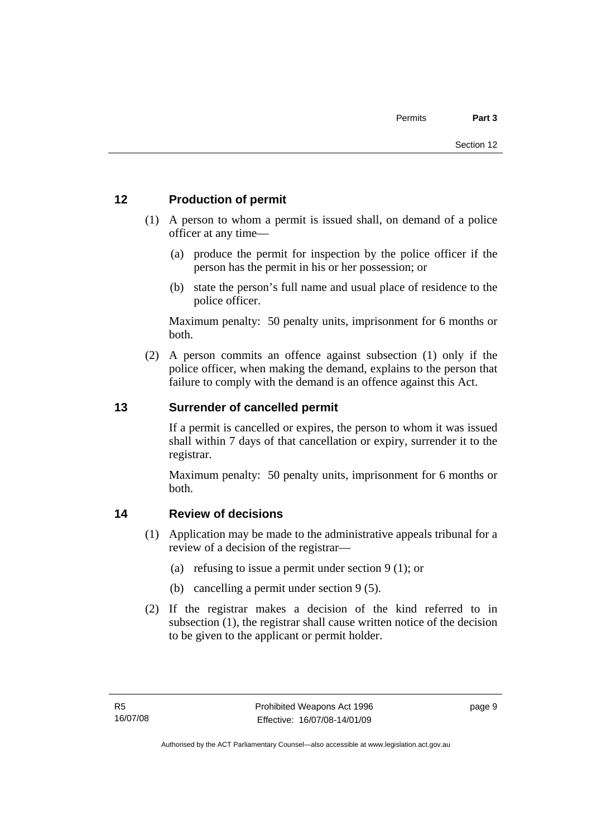## <span id="page-14-0"></span>**12 Production of permit**

- (1) A person to whom a permit is issued shall, on demand of a police officer at any time—
	- (a) produce the permit for inspection by the police officer if the person has the permit in his or her possession; or
	- (b) state the person's full name and usual place of residence to the police officer.

Maximum penalty: 50 penalty units, imprisonment for 6 months or both.

 (2) A person commits an offence against subsection (1) only if the police officer, when making the demand, explains to the person that failure to comply with the demand is an offence against this Act.

## **13 Surrender of cancelled permit**

If a permit is cancelled or expires, the person to whom it was issued shall within 7 days of that cancellation or expiry, surrender it to the registrar.

Maximum penalty: 50 penalty units, imprisonment for 6 months or both.

## **14 Review of decisions**

- (1) Application may be made to the administrative appeals tribunal for a review of a decision of the registrar—
	- (a) refusing to issue a permit under section 9 (1); or
	- (b) cancelling a permit under section 9 (5).
- (2) If the registrar makes a decision of the kind referred to in subsection (1), the registrar shall cause written notice of the decision to be given to the applicant or permit holder.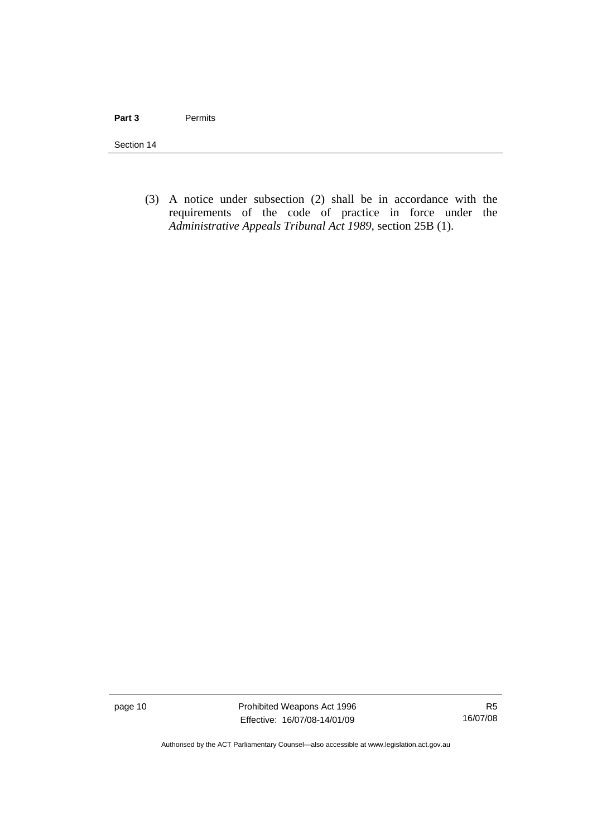Section 14

 (3) A notice under subsection (2) shall be in accordance with the requirements of the code of practice in force under the *Administrative Appeals Tribunal Act 1989*, section 25B (1).

page 10 **Prohibited Weapons Act 1996** Effective: 16/07/08-14/01/09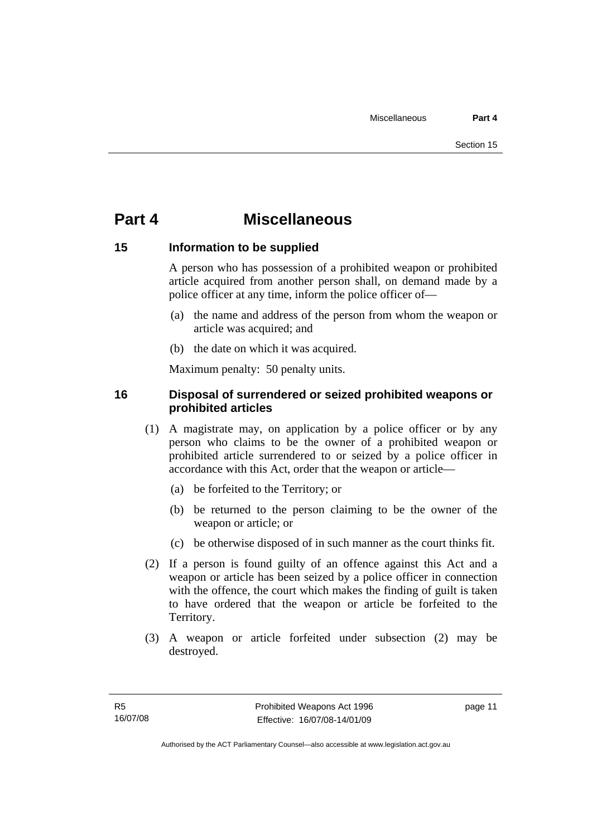## <span id="page-16-0"></span>**Part 4 Miscellaneous**

## **15 Information to be supplied**

A person who has possession of a prohibited weapon or prohibited article acquired from another person shall, on demand made by a police officer at any time, inform the police officer of—

- (a) the name and address of the person from whom the weapon or article was acquired; and
- (b) the date on which it was acquired.

Maximum penalty: 50 penalty units.

## **16 Disposal of surrendered or seized prohibited weapons or prohibited articles**

- (1) A magistrate may, on application by a police officer or by any person who claims to be the owner of a prohibited weapon or prohibited article surrendered to or seized by a police officer in accordance with this Act, order that the weapon or article—
	- (a) be forfeited to the Territory; or
	- (b) be returned to the person claiming to be the owner of the weapon or article; or
	- (c) be otherwise disposed of in such manner as the court thinks fit.
- (2) If a person is found guilty of an offence against this Act and a weapon or article has been seized by a police officer in connection with the offence, the court which makes the finding of guilt is taken to have ordered that the weapon or article be forfeited to the Territory.
- (3) A weapon or article forfeited under subsection (2) may be destroyed.

page 11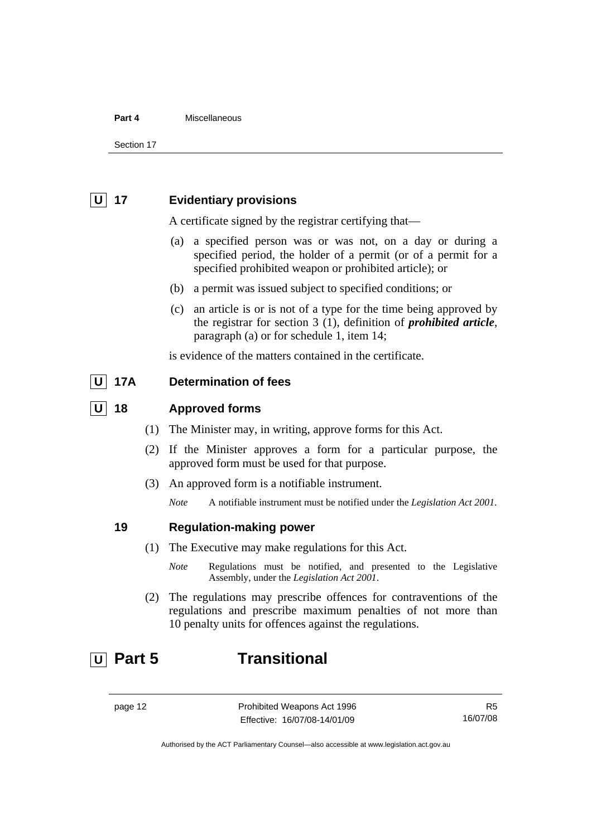#### <span id="page-17-0"></span>**Part 4** Miscellaneous

Section 17

## **U 17 Evidentiary provisions**

A certificate signed by the registrar certifying that—

- (a) a specified person was or was not, on a day or during a specified period, the holder of a permit (or of a permit for a specified prohibited weapon or prohibited article); or
- (b) a permit was issued subject to specified conditions; or
- (c) an article is or is not of a type for the time being approved by the registrar for section 3 (1), definition of *prohibited article*, paragraph (a) or for schedule 1, item 14;

is evidence of the matters contained in the certificate.

## **U 17A Determination of fees**

### **U 18 Approved forms**

- (1) The Minister may, in writing, approve forms for this Act.
- (2) If the Minister approves a form for a particular purpose, the approved form must be used for that purpose.
- (3) An approved form is a notifiable instrument.

*Note* A notifiable instrument must be notified under the *Legislation Act 2001*.

## **19 Regulation-making power**

- (1) The Executive may make regulations for this Act.
	- *Note* Regulations must be notified, and presented to the Legislative Assembly, under the *Legislation Act 2001*.
- (2) The regulations may prescribe offences for contraventions of the regulations and prescribe maximum penalties of not more than 10 penalty units for offences against the regulations.

## **U Part 5 Transitional**

page 12 **Prohibited Weapons Act 1996** Effective: 16/07/08-14/01/09

R5 16/07/08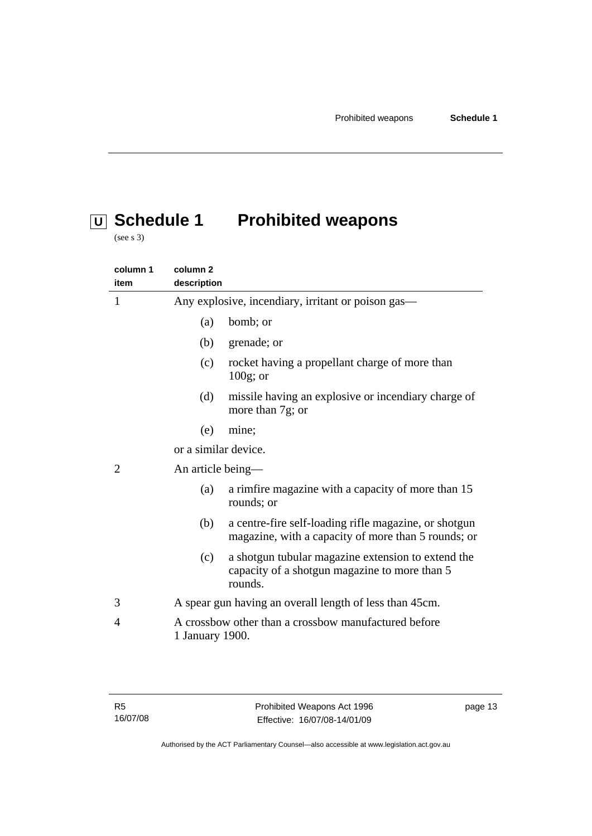# <span id="page-18-0"></span> **U Schedule 1 Prohibited weapons**

(see s 3)

| column 1<br>item | column <sub>2</sub><br>description                                                                                    |  |
|------------------|-----------------------------------------------------------------------------------------------------------------------|--|
| 1                | Any explosive, incendiary, irritant or poison gas—                                                                    |  |
|                  | bomb; or<br>(a)                                                                                                       |  |
|                  | (b)<br>grenade; or                                                                                                    |  |
|                  | rocket having a propellant charge of more than<br>(c)<br>$100g$ ; or                                                  |  |
|                  | (d)<br>missile having an explosive or incendiary charge of<br>more than 7g; or                                        |  |
|                  | (e)<br>mine;                                                                                                          |  |
|                  | or a similar device.                                                                                                  |  |
| $\overline{2}$   | An article being-                                                                                                     |  |
|                  | a rimfire magazine with a capacity of more than 15<br>(a)<br>rounds; or                                               |  |
|                  | a centre-fire self-loading rifle magazine, or shotgun<br>(b)<br>magazine, with a capacity of more than 5 rounds; or   |  |
|                  | a shotgun tubular magazine extension to extend the<br>(c)<br>capacity of a shotgun magazine to more than 5<br>rounds. |  |
| 3                | A spear gun having an overall length of less than 45cm.                                                               |  |
| 4                | A crossbow other than a crossbow manufactured before<br>1 January 1900.                                               |  |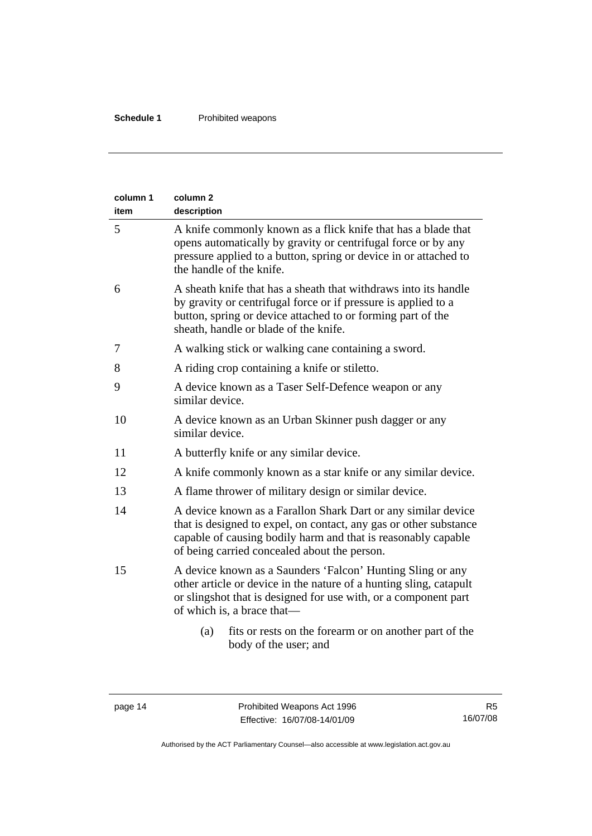| column 1<br>item | column <sub>2</sub><br>description                                                                                                                                                                                                                  |  |
|------------------|-----------------------------------------------------------------------------------------------------------------------------------------------------------------------------------------------------------------------------------------------------|--|
| 5                | A knife commonly known as a flick knife that has a blade that<br>opens automatically by gravity or centrifugal force or by any<br>pressure applied to a button, spring or device in or attached to<br>the handle of the knife.                      |  |
| 6                | A sheath knife that has a sheath that withdraws into its handle<br>by gravity or centrifugal force or if pressure is applied to a<br>button, spring or device attached to or forming part of the<br>sheath, handle or blade of the knife.           |  |
| 7                | A walking stick or walking cane containing a sword.                                                                                                                                                                                                 |  |
| 8                | A riding crop containing a knife or stiletto.                                                                                                                                                                                                       |  |
| 9                | A device known as a Taser Self-Defence weapon or any<br>similar device.                                                                                                                                                                             |  |
| 10               | A device known as an Urban Skinner push dagger or any<br>similar device.                                                                                                                                                                            |  |
| 11               | A butterfly knife or any similar device.                                                                                                                                                                                                            |  |
| 12               | A knife commonly known as a star knife or any similar device.                                                                                                                                                                                       |  |
| 13               | A flame thrower of military design or similar device.                                                                                                                                                                                               |  |
| 14               | A device known as a Farallon Shark Dart or any similar device<br>that is designed to expel, on contact, any gas or other substance<br>capable of causing bodily harm and that is reasonably capable<br>of being carried concealed about the person. |  |
| 15               | A device known as a Saunders 'Falcon' Hunting Sling or any<br>other article or device in the nature of a hunting sling, catapult<br>or slingshot that is designed for use with, or a component part<br>of which is, a brace that—                   |  |
|                  | fits or rests on the forearm or on another part of the<br>(a)<br>body of the user; and                                                                                                                                                              |  |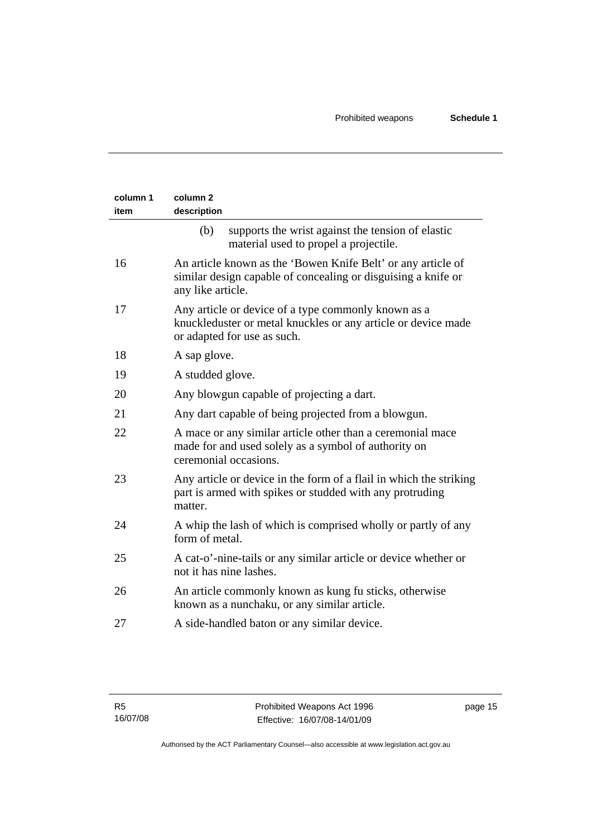| column 1<br>item | column <sub>2</sub><br>description                                                                                                                  |  |
|------------------|-----------------------------------------------------------------------------------------------------------------------------------------------------|--|
|                  | (b)<br>supports the wrist against the tension of elastic<br>material used to propel a projectile.                                                   |  |
| 16               | An article known as the 'Bowen Knife Belt' or any article of<br>similar design capable of concealing or disguising a knife or<br>any like article.  |  |
| 17               | Any article or device of a type commonly known as a<br>knuckleduster or metal knuckles or any article or device made<br>or adapted for use as such. |  |
| 18               | A sap glove.                                                                                                                                        |  |
| 19               | A studded glove.                                                                                                                                    |  |
| 20               | Any blowgun capable of projecting a dart.                                                                                                           |  |
| 21               | Any dart capable of being projected from a blowgun.                                                                                                 |  |
| 22               | A mace or any similar article other than a ceremonial mace<br>made for and used solely as a symbol of authority on<br>ceremonial occasions.         |  |
| 23               | Any article or device in the form of a flail in which the striking<br>part is armed with spikes or studded with any protruding<br>matter.           |  |
| 24               | A whip the lash of which is comprised wholly or partly of any<br>form of metal.                                                                     |  |
| 25               | A cat-o'-nine-tails or any similar article or device whether or<br>not it has nine lashes.                                                          |  |
| 26               | An article commonly known as kung fu sticks, otherwise<br>known as a nunchaku, or any similar article.                                              |  |
| 27               | A side-handled baton or any similar device.                                                                                                         |  |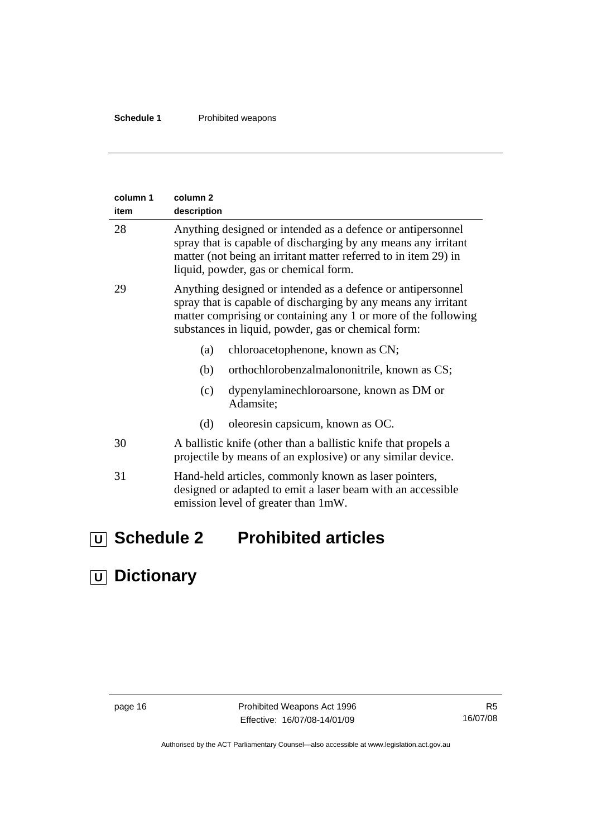<span id="page-21-0"></span>

| column 1<br>item | column <sub>2</sub><br>description                                                                                                                                                                                                                     |  |
|------------------|--------------------------------------------------------------------------------------------------------------------------------------------------------------------------------------------------------------------------------------------------------|--|
| 28               | Anything designed or intended as a defence or antipersonnel<br>spray that is capable of discharging by any means any irritant<br>matter (not being an irritant matter referred to in item 29) in<br>liquid, powder, gas or chemical form.              |  |
| 29               | Anything designed or intended as a defence or antipersonnel<br>spray that is capable of discharging by any means any irritant<br>matter comprising or containing any 1 or more of the following<br>substances in liquid, powder, gas or chemical form: |  |
|                  | (a)<br>chloroacetophenone, known as CN;                                                                                                                                                                                                                |  |
|                  | (b)<br>orthochlorobenzalmalononitrile, known as CS;                                                                                                                                                                                                    |  |
|                  | dypenylaminechloroarsone, known as DM or<br>(c)<br>Adamsite;                                                                                                                                                                                           |  |
|                  | oleoresin capsicum, known as OC.<br>(d)                                                                                                                                                                                                                |  |
| 30               | A ballistic knife (other than a ballistic knife that propels a<br>projectile by means of an explosive) or any similar device.                                                                                                                          |  |
| 31               | Hand-held articles, commonly known as laser pointers,<br>designed or adapted to emit a laser beam with an accessible<br>emission level of greater than 1mW.                                                                                            |  |

# **U Schedule 2 Prohibited articles**

# **U Dictionary**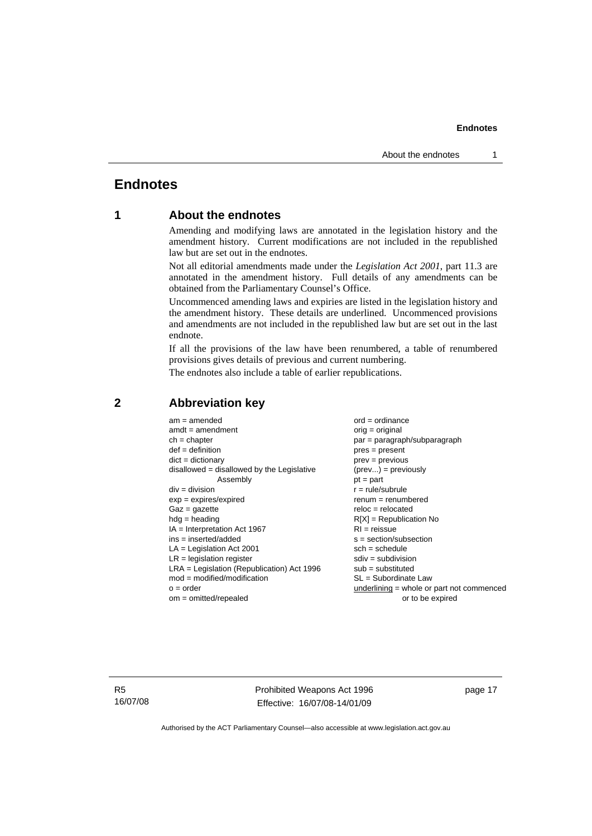## <span id="page-22-0"></span>**Endnotes**

## **1 About the endnotes**

Amending and modifying laws are annotated in the legislation history and the amendment history. Current modifications are not included in the republished law but are set out in the endnotes.

Not all editorial amendments made under the *Legislation Act 2001*, part 11.3 are annotated in the amendment history. Full details of any amendments can be obtained from the Parliamentary Counsel's Office.

Uncommenced amending laws and expiries are listed in the legislation history and the amendment history. These details are underlined. Uncommenced provisions and amendments are not included in the republished law but are set out in the last endnote.

If all the provisions of the law have been renumbered, a table of renumbered provisions gives details of previous and current numbering.

The endnotes also include a table of earlier republications.

| $am = amended$<br>$amdt = amendment$<br>$ch = chapter$<br>$def = definition$<br>$dict = dictionary$<br>$disallowed = disallowed by the Legislative$<br>Assembly<br>$div = division$<br>$exp = expires/expired$<br>$Gaz = qazette$<br>$hdg =$ heading<br>$IA = Interpretation Act 1967$<br>$ins = inserted/added$<br>$LA =$ Legislation Act 2001<br>$LR =$ legislation register<br>$LRA =$ Legislation (Republication) Act 1996<br>$mod = modified/modification$<br>$o = order$ | $ord = ordinance$<br>$orig = original$<br>par = paragraph/subparagraph<br>$pres = present$<br>$prev = previous$<br>$(\text{prev}) = \text{previously}$<br>$pt = part$<br>$r = rule/subrule$<br>$renum = renumbered$<br>$reloc = relocated$<br>$R[X]$ = Republication No<br>$RI = reissue$<br>$s = section/subsection$<br>$sch = schedule$<br>$sdiv = subdivision$<br>$sub =$ substituted<br>$SL = Subordinate$ Law<br>underlining = whole or part not commenced |
|--------------------------------------------------------------------------------------------------------------------------------------------------------------------------------------------------------------------------------------------------------------------------------------------------------------------------------------------------------------------------------------------------------------------------------------------------------------------------------|-----------------------------------------------------------------------------------------------------------------------------------------------------------------------------------------------------------------------------------------------------------------------------------------------------------------------------------------------------------------------------------------------------------------------------------------------------------------|
| $om = omitted/repealed$                                                                                                                                                                                                                                                                                                                                                                                                                                                        | or to be expired                                                                                                                                                                                                                                                                                                                                                                                                                                                |
|                                                                                                                                                                                                                                                                                                                                                                                                                                                                                |                                                                                                                                                                                                                                                                                                                                                                                                                                                                 |

## **2 Abbreviation key**

R5 16/07/08 Prohibited Weapons Act 1996 Effective: 16/07/08-14/01/09

page 17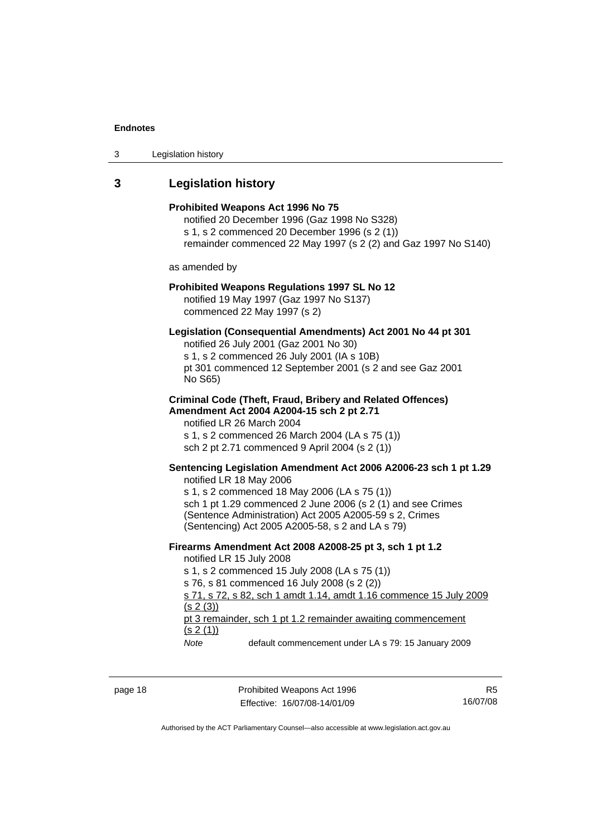<span id="page-23-0"></span>

| 3 | Legislation history |  |
|---|---------------------|--|
|---|---------------------|--|

## **3 Legislation history**

|                                                          | Prohibited Weapons Act 1996 No 75<br>notified 20 December 1996 (Gaz 1998 No S328)<br>s 1, s 2 commenced 20 December 1996 (s 2 (1))<br>remainder commenced 22 May 1997 (s 2 (2) and Gaz 1997 No S140)                                                                                                                                                 |
|----------------------------------------------------------|------------------------------------------------------------------------------------------------------------------------------------------------------------------------------------------------------------------------------------------------------------------------------------------------------------------------------------------------------|
| as amended by                                            |                                                                                                                                                                                                                                                                                                                                                      |
|                                                          | Prohibited Weapons Regulations 1997 SL No 12<br>notified 19 May 1997 (Gaz 1997 No S137)<br>commenced 22 May 1997 (s 2)                                                                                                                                                                                                                               |
| No S65)                                                  | Legislation (Consequential Amendments) Act 2001 No 44 pt 301<br>notified 26 July 2001 (Gaz 2001 No 30)<br>s 1, s 2 commenced 26 July 2001 (IA s 10B)<br>pt 301 commenced 12 September 2001 (s 2 and see Gaz 2001                                                                                                                                     |
| notified LR 26 March 2004                                | <b>Criminal Code (Theft, Fraud, Bribery and Related Offences)</b><br>Amendment Act 2004 A2004-15 sch 2 pt 2.71<br>s 1, s 2 commenced 26 March 2004 (LA s 75 (1))<br>sch 2 pt 2.71 commenced 9 April 2004 (s 2 (1))                                                                                                                                   |
| notified LR 18 May 2006                                  | Sentencing Legislation Amendment Act 2006 A2006-23 sch 1 pt 1.29<br>s 1, s 2 commenced 18 May 2006 (LA s 75 (1))<br>sch 1 pt 1.29 commenced 2 June 2006 (s 2 (1) and see Crimes<br>(Sentence Administration) Act 2005 A2005-59 s 2, Crimes<br>(Sentencing) Act 2005 A2005-58, s 2 and LA s 79)                                                       |
| notified LR 15 July 2008<br>(s 2(3))<br>(s 2(1))<br>Note | Firearms Amendment Act 2008 A2008-25 pt 3, sch 1 pt 1.2<br>s 1, s 2 commenced 15 July 2008 (LA s 75 (1))<br>s 76, s 81 commenced 16 July 2008 (s 2 (2))<br>s 71, s 72, s 82, sch 1 amdt 1.14, amdt 1.16 commence 15 July 2009<br>pt 3 remainder, sch 1 pt 1.2 remainder awaiting commencement<br>default commencement under LA s 79: 15 January 2009 |

page 18 **Prohibited Weapons Act 1996** Effective: 16/07/08-14/01/09

R5 16/07/08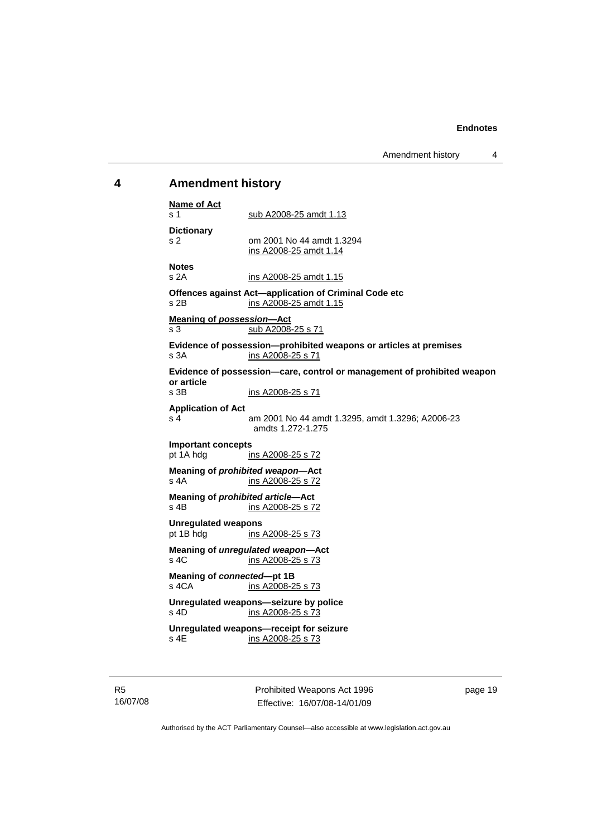Amendment history 4

## <span id="page-24-0"></span>**4 Amendment history**

| <b>Name of Act</b><br>s 1                 | sub A2008-25 amdt 1.13                                                                 |
|-------------------------------------------|----------------------------------------------------------------------------------------|
| <b>Dictionary</b><br>s 2                  | om 2001 No 44 amdt 1.3294<br>ins A2008-25 amdt 1.14                                    |
| <b>Notes</b><br>s2A                       | ins A2008-25 amdt 1.15                                                                 |
| s 2B                                      | Offences against Act-application of Criminal Code etc<br>ins A2008-25 amdt 1.15        |
| <b>Meaning of possession-Act</b><br>s 3   | sub A2008-25 s 71                                                                      |
| s 3A                                      | Evidence of possession-prohibited weapons or articles at premises<br>ins A2008-25 s 71 |
| or article                                | Evidence of possession-care, control or management of prohibited weapon                |
| s 3B                                      | ins A2008-25 s 71                                                                      |
| <b>Application of Act</b><br>s 4          | am 2001 No 44 amdt 1.3295, amdt 1.3296; A2006-23<br>amdts 1.272-1.275                  |
| <b>Important concepts</b>                 |                                                                                        |
| pt 1A hdg                                 | ins A2008-25 s 72                                                                      |
| s 4A                                      | Meaning of prohibited weapon-Act<br>ins A2008-25 s 72                                  |
| Meaning of prohibited article-Act<br>s 4B | ins A2008-25 s 72                                                                      |
| <b>Unregulated weapons</b><br>pt 1B hdg   | ins A2008-25 s 73                                                                      |
| s, 4C                                     | Meaning of unregulated weapon-Act<br>ins A2008-25 s 73                                 |
| Meaning of connected-pt 1B<br>s 4CA       | ins A2008-25 s 73                                                                      |
| s 4D                                      | Unregulated weapons-seizure by police<br>ins A2008-25 s 73                             |
| s 4E                                      | Unregulated weapons-receipt for seizure<br>ins A2008-25 s 73                           |
|                                           |                                                                                        |

R5 16/07/08 Prohibited Weapons Act 1996 Effective: 16/07/08-14/01/09

page 19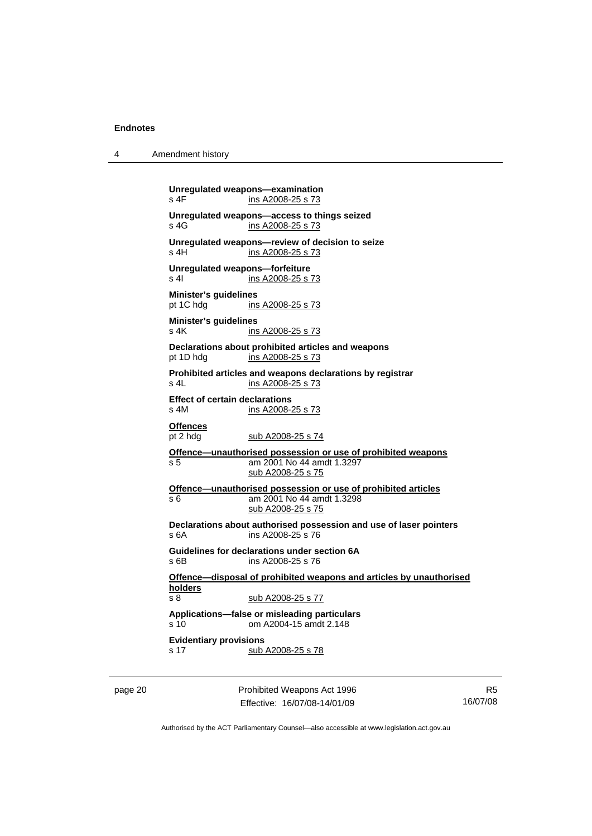**Unregulated weapons—examination**  ins A2008-25 s 73 **Unregulated weapons—access to things seized**  s 4G ins A2008-25 s 73 **Unregulated weapons—review of decision to seize**  s 4H ins A2008-25 s 73 **Unregulated weapons—forfeiture**  s 4| ins A2008-25 s 73 **Minister's guidelines**  pt 1C hdg ins A2008-25 s 73 **Minister's guidelines**  s 4K ins A2008-25 s 73 **Declarations about prohibited articles and weapons**  pt 1D hdg ins A2008-25 s 73 **Prohibited articles and weapons declarations by registrar**  s 4L ins A2008-25 s 73 **Effect of certain declarations**  s 4M ins A2008-25 s 73 **Offences** pt 2 hdg sub A2008-25 s 74 **Offence—unauthorised possession or use of prohibited weapons** s 5 am 2001 No 44 amdt 1.3297 sub A2008-25 s 75 **Offence—unauthorised possession or use of prohibited articles** s 6 am 2001 No 44 amdt 1.3298 sub A2008-25 s 75 **Declarations about authorised possession and use of laser pointers**  s 6A ins A2008-25 s 76 **Guidelines for declarations under section 6A**  s 6B ins A2008-25 s 76 **Offence—disposal of prohibited weapons and articles by unauthorised holders** s 8 sub A2008-25 s 77 **Applications—false or misleading particulars**  s 10 om A2004-15 amdt 2.148 **Evidentiary provisions**  s 17 sub A2008-25 s 78

page 20 **Prohibited Weapons Act 1996** Effective: 16/07/08-14/01/09

R5 16/07/08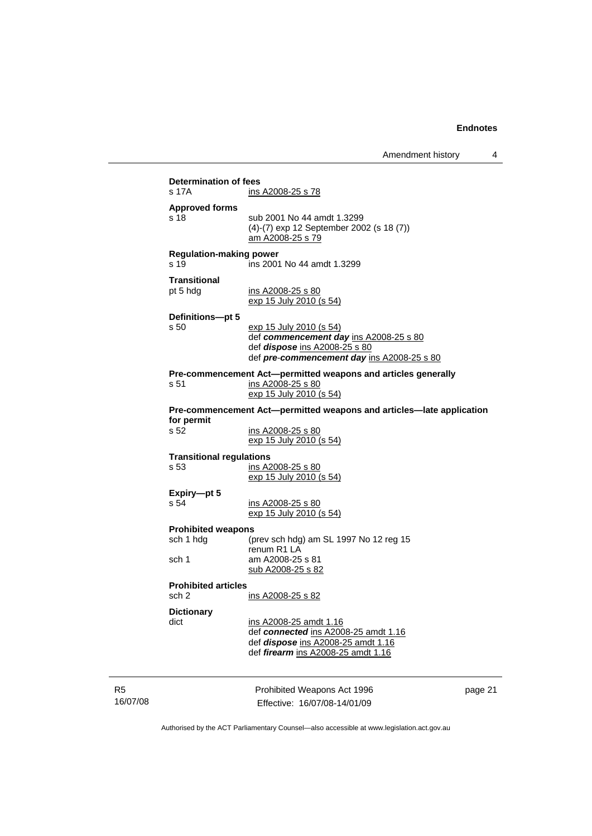| <b>Determination of fees</b>    |                                                                                    |         |
|---------------------------------|------------------------------------------------------------------------------------|---------|
| s 17A                           | ins A2008-25 s 78                                                                  |         |
|                                 |                                                                                    |         |
| <b>Approved forms</b>           |                                                                                    |         |
| s 18                            | sub 2001 No 44 amdt 1.3299                                                         |         |
|                                 | (4)-(7) exp 12 September 2002 (s 18 (7))                                           |         |
|                                 | am A2008-25 s 79                                                                   |         |
| <b>Regulation-making power</b>  |                                                                                    |         |
| s 19                            | ins 2001 No 44 amdt 1.3299                                                         |         |
| <b>Transitional</b>             |                                                                                    |         |
| pt 5 hdg                        | ins A2008-25 s 80                                                                  |         |
|                                 | exp 15 July 2010 (s 54)                                                            |         |
|                                 |                                                                                    |         |
| Definitions-pt 5<br>s 50        | <u>exp 15 July 2010 (s 54)</u>                                                     |         |
|                                 | def commencement day ins A2008-25 s 80                                             |         |
|                                 | def <i>dispose</i> ins A2008-25 s 80                                               |         |
|                                 | def pre-commencement day ins A2008-25 s 80                                         |         |
|                                 |                                                                                    |         |
| s 51                            | Pre-commencement Act-permitted weapons and articles generally<br>ins A2008-25 s 80 |         |
|                                 | exp 15 July 2010 (s 54)                                                            |         |
|                                 |                                                                                    |         |
|                                 | Pre-commencement Act-permitted weapons and articles-late application               |         |
| for permit                      |                                                                                    |         |
| s 52                            | ins A2008-25 s 80<br>exp 15 July 2010 (s 54)                                       |         |
|                                 |                                                                                    |         |
| <b>Transitional regulations</b> |                                                                                    |         |
| s 53                            | ins A2008-25 s 80                                                                  |         |
|                                 | exp 15 July 2010 (s 54)                                                            |         |
| Expiry-pt 5                     |                                                                                    |         |
| s 54                            | ins A2008-25 s 80                                                                  |         |
|                                 | <u>exp 15 July 2010 (s 54)</u>                                                     |         |
| <b>Prohibited weapons</b>       |                                                                                    |         |
| sch 1 hdg                       | (prev sch hdg) am SL 1997 No 12 reg 15                                             |         |
|                                 | renum R1 LA                                                                        |         |
| sch 1                           | am A2008-25 s 81                                                                   |         |
|                                 | <u>sub A2008-25 s 82</u>                                                           |         |
| <b>Prohibited articles</b>      |                                                                                    |         |
| sch 2                           | ins A2008-25 s 82                                                                  |         |
| <b>Dictionary</b>               |                                                                                    |         |
| dict                            | ins A2008-25 amdt 1.16                                                             |         |
|                                 | def connected ins A2008-25 amdt 1.16                                               |         |
|                                 | def dispose ins A2008-25 amdt 1.16                                                 |         |
|                                 | def firearm ins A2008-25 amdt 1.16                                                 |         |
|                                 |                                                                                    |         |
|                                 |                                                                                    |         |
|                                 | Prohibited Weapons Act 1996                                                        | page 21 |
|                                 | Effective: 16/07/08-14/01/09                                                       |         |

Authorised by the ACT Parliamentary Counsel—also accessible at www.legislation.act.gov.au

R5 16/07/08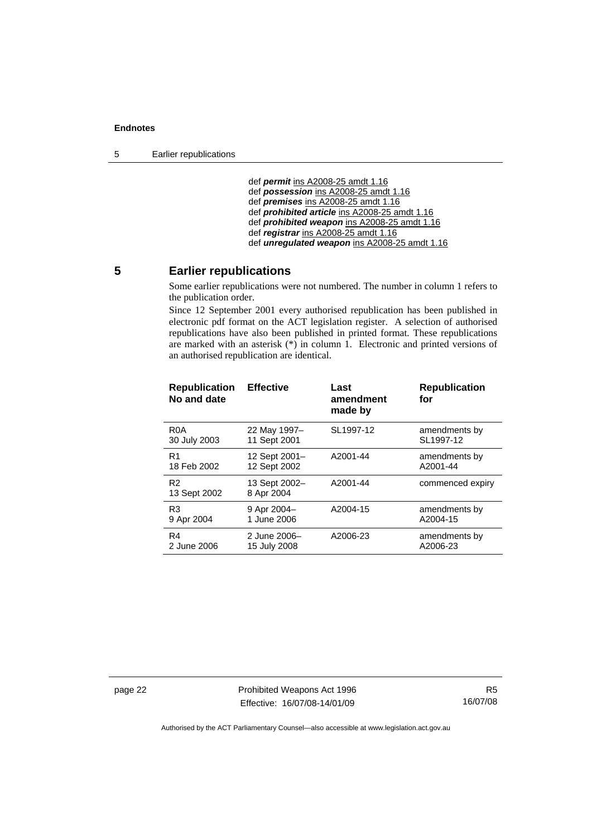<span id="page-27-0"></span>5 Earlier republications

 def *permit* ins A2008-25 amdt 1.16 def *possession* ins A2008-25 amdt 1.16 def *premises* ins A2008-25 amdt 1.16 def *prohibited article* ins A2008-25 amdt 1.16 def *prohibited weapon* ins A2008-25 amdt 1.16 def *registrar* ins A2008-25 amdt 1.16 def *unregulated weapon* ins A2008-25 amdt 1.16

### **5 Earlier republications**

Some earlier republications were not numbered. The number in column 1 refers to the publication order.

Since 12 September 2001 every authorised republication has been published in electronic pdf format on the ACT legislation register. A selection of authorised republications have also been published in printed format. These republications are marked with an asterisk (\*) in column 1. Electronic and printed versions of an authorised republication are identical.

| <b>Effective</b>              | Last<br>amendment<br>made by | <b>Republication</b><br>for |
|-------------------------------|------------------------------|-----------------------------|
| 22 May 1997-<br>11 Sept 2001  | SL1997-12                    | amendments by<br>SL1997-12  |
| 12 Sept 2001-<br>12 Sept 2002 | A2001-44                     | amendments by<br>A2001-44   |
| 13 Sept 2002-<br>8 Apr 2004   | A2001-44                     | commenced expiry            |
| 9 Apr 2004-<br>1 June 2006    | A2004-15                     | amendments by<br>A2004-15   |
| 2 June 2006-<br>15 July 2008  | A2006-23                     | amendments by<br>A2006-23   |
|                               |                              |                             |

page 22 **Prohibited Weapons Act 1996** Effective: 16/07/08-14/01/09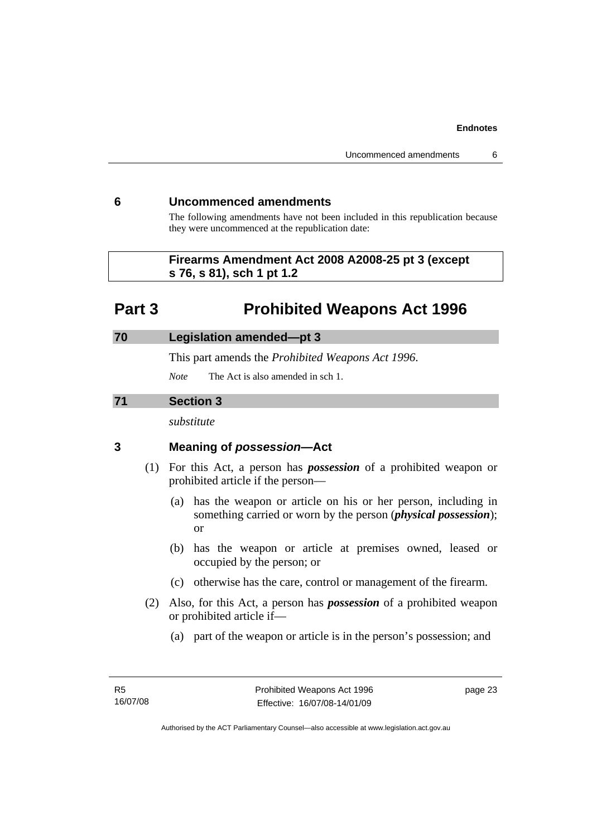## <span id="page-28-0"></span>**6 Uncommenced amendments**

The following amendments have not been included in this republication because they were uncommenced at the republication date:

## **Firearms Amendment Act 2008 A2008-25 pt 3 (except s 76, s 81), sch 1 pt 1.2**

## **Part 3 Prohibited Weapons Act 1996**

## **70 Legislation amended—pt 3**

This part amends the *Prohibited Weapons Act 1996*.

*Note* The Act is also amended in sch 1.

## **71 Section 3**

*substitute* 

## **3 Meaning of** *possession***—Act**

- (1) For this Act, a person has *possession* of a prohibited weapon or prohibited article if the person—
	- (a) has the weapon or article on his or her person, including in something carried or worn by the person (*physical possession*); or
	- (b) has the weapon or article at premises owned, leased or occupied by the person; or
	- (c) otherwise has the care, control or management of the firearm.
- (2) Also, for this Act, a person has *possession* of a prohibited weapon or prohibited article if—
	- (a) part of the weapon or article is in the person's possession; and

page 23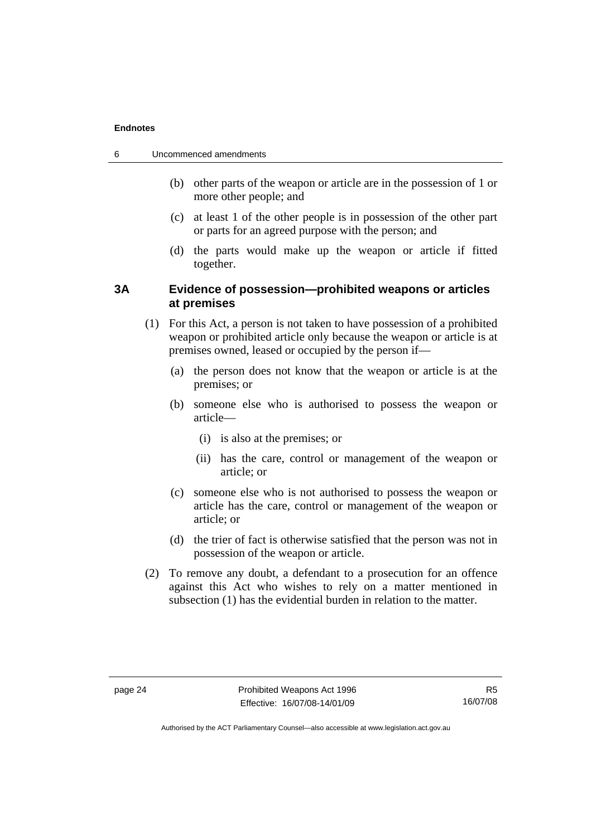| 6 | Uncommenced amendments |  |
|---|------------------------|--|
|   |                        |  |

- (b) other parts of the weapon or article are in the possession of 1 or more other people; and
- (c) at least 1 of the other people is in possession of the other part or parts for an agreed purpose with the person; and
- (d) the parts would make up the weapon or article if fitted together.

## **3A Evidence of possession—prohibited weapons or articles at premises**

- (1) For this Act, a person is not taken to have possession of a prohibited weapon or prohibited article only because the weapon or article is at premises owned, leased or occupied by the person if—
	- (a) the person does not know that the weapon or article is at the premises; or
	- (b) someone else who is authorised to possess the weapon or article—
		- (i) is also at the premises; or
		- (ii) has the care, control or management of the weapon or article; or
	- (c) someone else who is not authorised to possess the weapon or article has the care, control or management of the weapon or article; or
	- (d) the trier of fact is otherwise satisfied that the person was not in possession of the weapon or article.
- (2) To remove any doubt, a defendant to a prosecution for an offence against this Act who wishes to rely on a matter mentioned in subsection (1) has the evidential burden in relation to the matter.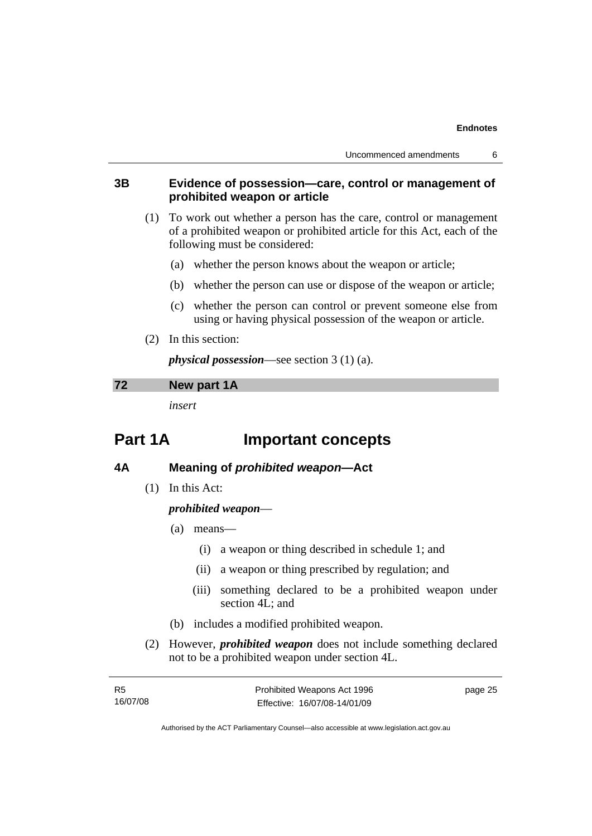## **3B Evidence of possession—care, control or management of prohibited weapon or article**

- (1) To work out whether a person has the care, control or management of a prohibited weapon or prohibited article for this Act, each of the following must be considered:
	- (a) whether the person knows about the weapon or article;
	- (b) whether the person can use or dispose of the weapon or article;
	- (c) whether the person can control or prevent someone else from using or having physical possession of the weapon or article.
- (2) In this section:

*physical possession*—see section 3 (1) (a).

### **72 New part 1A**

*insert* 

## **Part 1A Important concepts**

## **4A Meaning of** *prohibited weapon***—Act**

(1) In this Act:

## *prohibited weapon*—

- (a) means—
	- (i) a weapon or thing described in schedule 1; and
	- (ii) a weapon or thing prescribed by regulation; and
	- (iii) something declared to be a prohibited weapon under section 4L; and
- (b) includes a modified prohibited weapon.
- (2) However, *prohibited weapon* does not include something declared not to be a prohibited weapon under section 4L.

| - R5     | Prohibited Weapons Act 1996  | page 25 |
|----------|------------------------------|---------|
| 16/07/08 | Effective: 16/07/08-14/01/09 |         |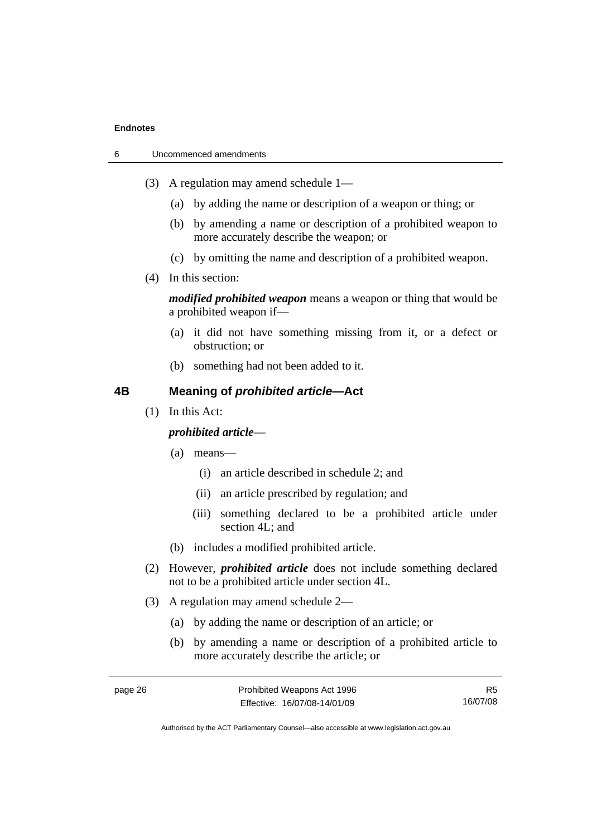| 6 | Uncommenced amendments |  |
|---|------------------------|--|
|   |                        |  |

- (3) A regulation may amend schedule 1—
	- (a) by adding the name or description of a weapon or thing; or
	- (b) by amending a name or description of a prohibited weapon to more accurately describe the weapon; or
	- (c) by omitting the name and description of a prohibited weapon.
- (4) In this section:

*modified prohibited weapon* means a weapon or thing that would be a prohibited weapon if—

- (a) it did not have something missing from it, or a defect or obstruction; or
- (b) something had not been added to it.

## **4B Meaning of** *prohibited article***—Act**

(1) In this Act:

## *prohibited article*—

- (a) means—
	- (i) an article described in schedule 2; and
	- (ii) an article prescribed by regulation; and
	- (iii) something declared to be a prohibited article under section 4L; and
- (b) includes a modified prohibited article.
- (2) However, *prohibited article* does not include something declared not to be a prohibited article under section 4L.
- (3) A regulation may amend schedule 2—
	- (a) by adding the name or description of an article; or
	- (b) by amending a name or description of a prohibited article to more accurately describe the article; or

R5 16/07/08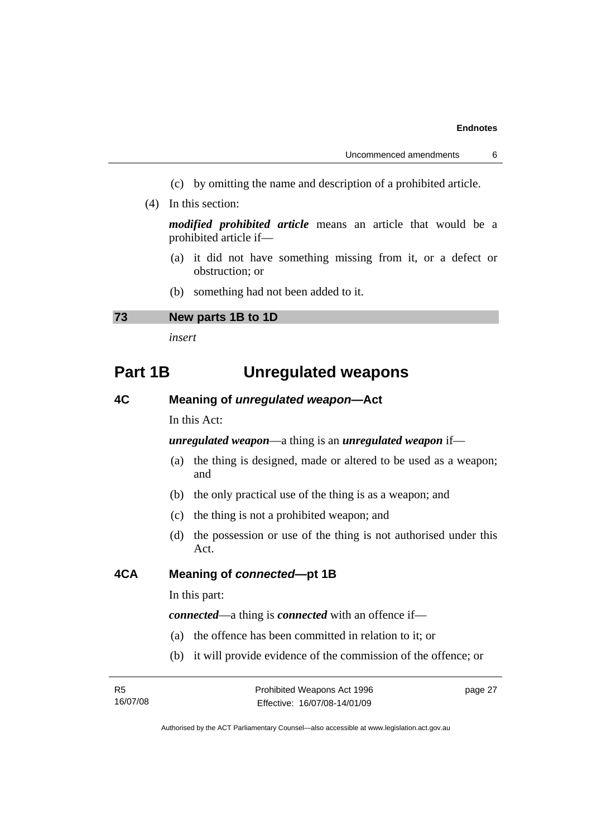- (c) by omitting the name and description of a prohibited article.
- (4) In this section:

*modified prohibited article* means an article that would be a prohibited article if—

- (a) it did not have something missing from it, or a defect or obstruction; or
- (b) something had not been added to it.

### **73 New parts 1B to 1D**

*insert* 

## **Part 1B Unregulated weapons**

## **4C Meaning of** *unregulated weapon***—Act**

In this Act:

*unregulated weapon*—a thing is an *unregulated weapon* if—

- (a) the thing is designed, made or altered to be used as a weapon; and
- (b) the only practical use of the thing is as a weapon; and
- (c) the thing is not a prohibited weapon; and
- (d) the possession or use of the thing is not authorised under this Act.

## **4CA Meaning of** *connected***—pt 1B**

In this part:

*connected*—a thing is *connected* with an offence if—

- (a) the offence has been committed in relation to it; or
- (b) it will provide evidence of the commission of the offence; or

page 27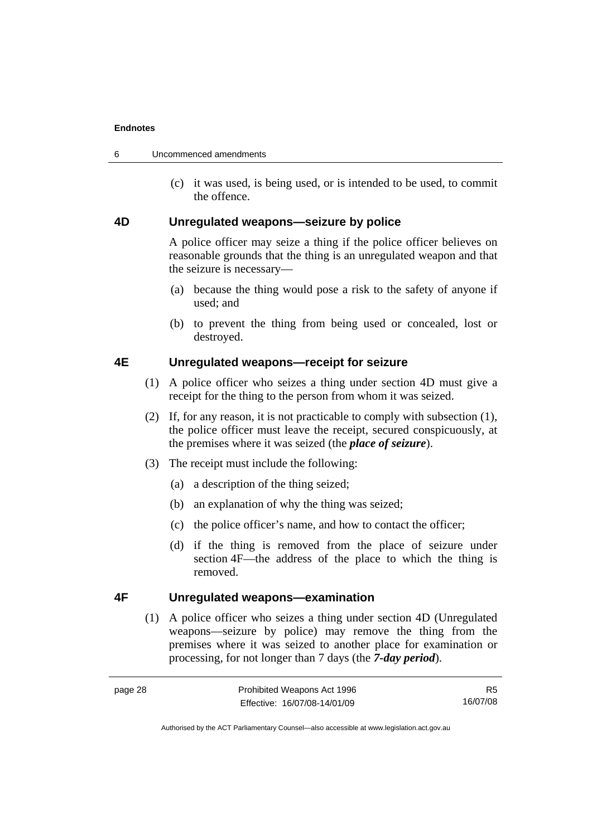| Uncommenced amendments |
|------------------------|
|                        |

 (c) it was used, is being used, or is intended to be used, to commit the offence.

## **4D Unregulated weapons—seizure by police**

A police officer may seize a thing if the police officer believes on reasonable grounds that the thing is an unregulated weapon and that the seizure is necessary—

- (a) because the thing would pose a risk to the safety of anyone if used; and
- (b) to prevent the thing from being used or concealed, lost or destroyed.

## **4E Unregulated weapons—receipt for seizure**

- (1) A police officer who seizes a thing under section 4D must give a receipt for the thing to the person from whom it was seized.
- (2) If, for any reason, it is not practicable to comply with subsection (1), the police officer must leave the receipt, secured conspicuously, at the premises where it was seized (the *place of seizure*).
- (3) The receipt must include the following:
	- (a) a description of the thing seized;
	- (b) an explanation of why the thing was seized;
	- (c) the police officer's name, and how to contact the officer;
	- (d) if the thing is removed from the place of seizure under section 4F—the address of the place to which the thing is removed.

## **4F Unregulated weapons—examination**

 (1) A police officer who seizes a thing under section 4D (Unregulated weapons—seizure by police) may remove the thing from the premises where it was seized to another place for examination or processing, for not longer than 7 days (the *7-day period*).

R5 16/07/08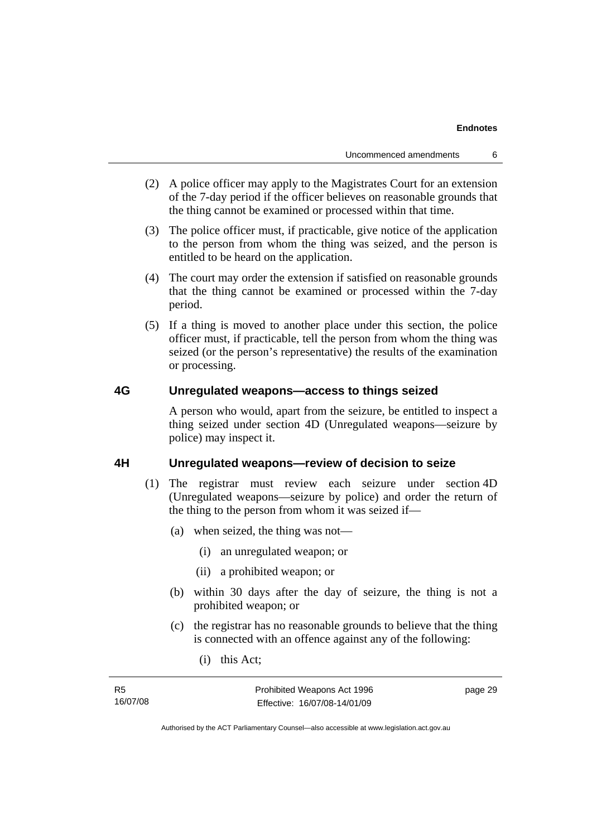- (2) A police officer may apply to the Magistrates Court for an extension of the 7-day period if the officer believes on reasonable grounds that the thing cannot be examined or processed within that time.
- (3) The police officer must, if practicable, give notice of the application to the person from whom the thing was seized, and the person is entitled to be heard on the application.
- (4) The court may order the extension if satisfied on reasonable grounds that the thing cannot be examined or processed within the 7-day period.
- (5) If a thing is moved to another place under this section, the police officer must, if practicable, tell the person from whom the thing was seized (or the person's representative) the results of the examination or processing.

## **4G Unregulated weapons—access to things seized**

A person who would, apart from the seizure, be entitled to inspect a thing seized under section 4D (Unregulated weapons—seizure by police) may inspect it.

### **4H Unregulated weapons—review of decision to seize**

- (1) The registrar must review each seizure under section 4D (Unregulated weapons—seizure by police) and order the return of the thing to the person from whom it was seized if—
	- (a) when seized, the thing was not—
		- (i) an unregulated weapon; or
		- (ii) a prohibited weapon; or
	- (b) within 30 days after the day of seizure, the thing is not a prohibited weapon; or
	- (c) the registrar has no reasonable grounds to believe that the thing is connected with an offence against any of the following:
		- (i) this Act;

| - R5     | Prohibited Weapons Act 1996  | page 29 |
|----------|------------------------------|---------|
| 16/07/08 | Effective: 16/07/08-14/01/09 |         |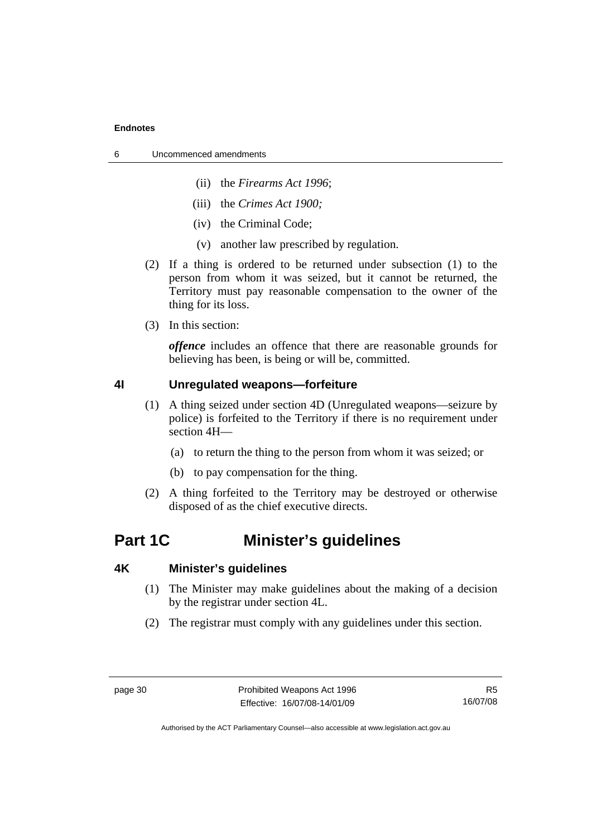- 6 Uncommenced amendments
	- (ii) the *Firearms Act 1996*;
	- (iii) the *Crimes Act 1900;*
	- (iv) the Criminal Code;
	- (v) another law prescribed by regulation.
	- (2) If a thing is ordered to be returned under subsection (1) to the person from whom it was seized, but it cannot be returned, the Territory must pay reasonable compensation to the owner of the thing for its loss.
	- (3) In this section:

*offence* includes an offence that there are reasonable grounds for believing has been, is being or will be, committed.

## **4I Unregulated weapons—forfeiture**

- (1) A thing seized under section 4D (Unregulated weapons—seizure by police) is forfeited to the Territory if there is no requirement under section 4H—
	- (a) to return the thing to the person from whom it was seized; or
	- (b) to pay compensation for the thing.
- (2) A thing forfeited to the Territory may be destroyed or otherwise disposed of as the chief executive directs.

## **Part 1C Minister's guidelines**

## **4K Minister's guidelines**

- (1) The Minister may make guidelines about the making of a decision by the registrar under section 4L.
- (2) The registrar must comply with any guidelines under this section.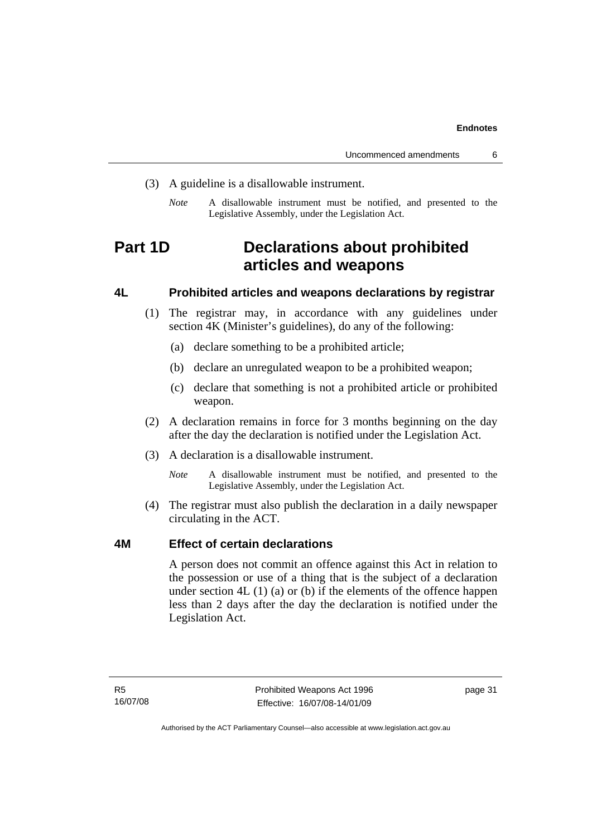- (3) A guideline is a disallowable instrument.
	- *Note* A disallowable instrument must be notified, and presented to the Legislative Assembly, under the Legislation Act.

## **Part 1D Declarations about prohibited articles and weapons**

## **4L Prohibited articles and weapons declarations by registrar**

- (1) The registrar may, in accordance with any guidelines under section 4K (Minister's guidelines), do any of the following:
	- (a) declare something to be a prohibited article;
	- (b) declare an unregulated weapon to be a prohibited weapon;
	- (c) declare that something is not a prohibited article or prohibited weapon.
- (2) A declaration remains in force for 3 months beginning on the day after the day the declaration is notified under the Legislation Act.
- (3) A declaration is a disallowable instrument.
	- *Note* A disallowable instrument must be notified, and presented to the Legislative Assembly, under the Legislation Act.
- (4) The registrar must also publish the declaration in a daily newspaper circulating in the ACT.

## **4M Effect of certain declarations**

A person does not commit an offence against this Act in relation to the possession or use of a thing that is the subject of a declaration under section  $4L(1)(a)$  or (b) if the elements of the offence happen less than 2 days after the day the declaration is notified under the Legislation Act.

page 31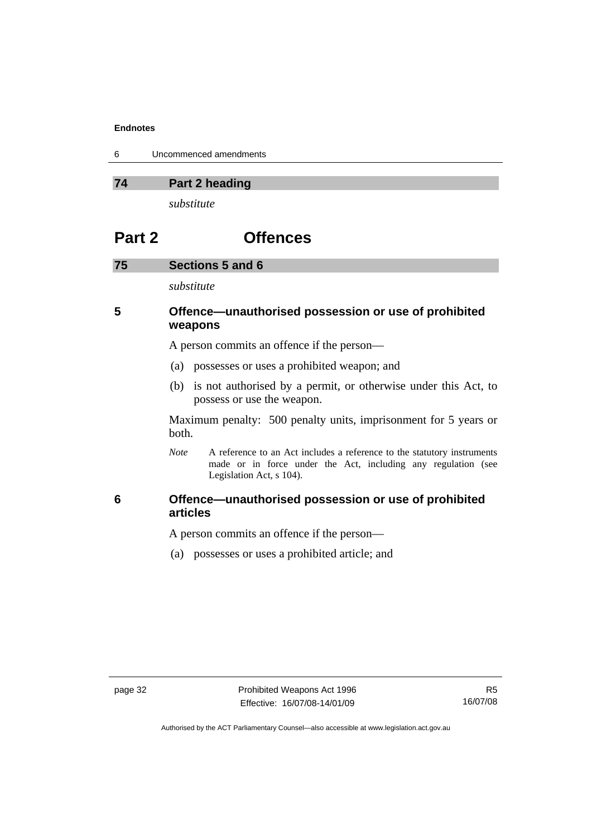| 6 | Uncommenced amendments |
|---|------------------------|
|---|------------------------|

## **74 Part 2 heading**

*substitute* 

## **Part 2 Offences**

#### **75 Sections 5 and 6**

*substitute* 

## **5 Offence—unauthorised possession or use of prohibited weapons**

A person commits an offence if the person—

- (a) possesses or uses a prohibited weapon; and
- (b) is not authorised by a permit, or otherwise under this Act, to possess or use the weapon.

Maximum penalty: 500 penalty units, imprisonment for 5 years or both.

*Note* A reference to an Act includes a reference to the statutory instruments made or in force under the Act, including any regulation (see Legislation Act, s 104).

## **6 Offence—unauthorised possession or use of prohibited articles**

A person commits an offence if the person—

(a) possesses or uses a prohibited article; and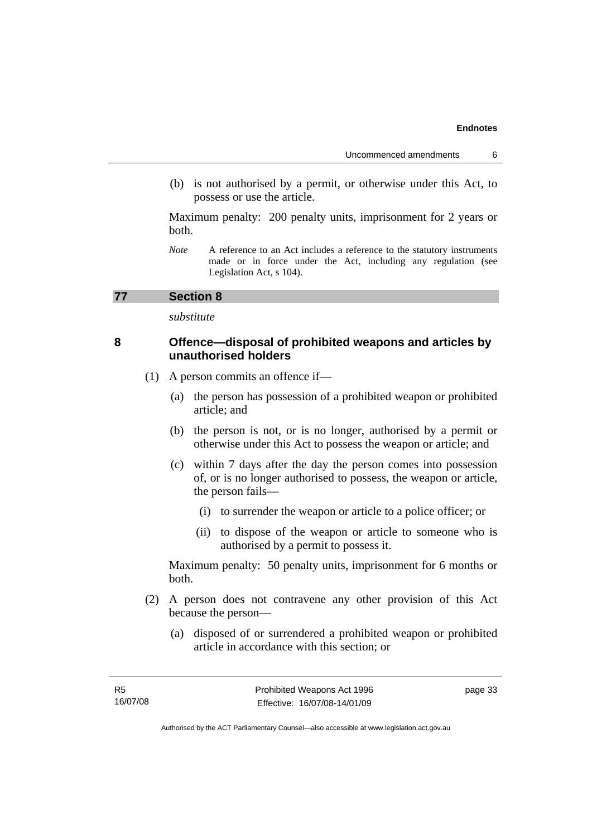(b) is not authorised by a permit, or otherwise under this Act, to possess or use the article.

Maximum penalty: 200 penalty units, imprisonment for 2 years or both.

*Note* A reference to an Act includes a reference to the statutory instruments made or in force under the Act, including any regulation (see Legislation Act, s 104).

### **77 Section 8**

*substitute* 

## **8 Offence—disposal of prohibited weapons and articles by unauthorised holders**

- (1) A person commits an offence if—
	- (a) the person has possession of a prohibited weapon or prohibited article; and
	- (b) the person is not, or is no longer, authorised by a permit or otherwise under this Act to possess the weapon or article; and
	- (c) within 7 days after the day the person comes into possession of, or is no longer authorised to possess, the weapon or article, the person fails—
		- (i) to surrender the weapon or article to a police officer; or
		- (ii) to dispose of the weapon or article to someone who is authorised by a permit to possess it.

Maximum penalty: 50 penalty units, imprisonment for 6 months or both.

- (2) A person does not contravene any other provision of this Act because the person—
	- (a) disposed of or surrendered a prohibited weapon or prohibited article in accordance with this section; or

page 33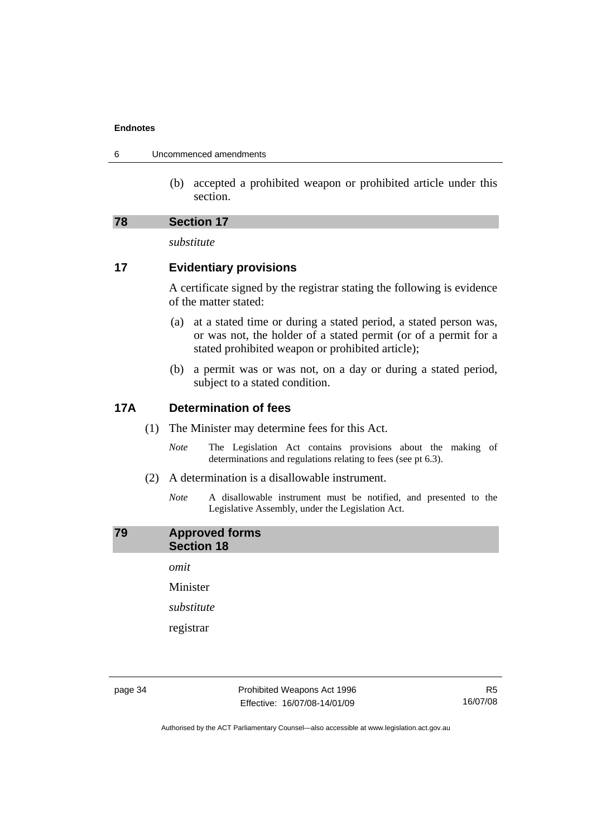| 6 | Uncommenced amendments |
|---|------------------------|
|---|------------------------|

 (b) accepted a prohibited weapon or prohibited article under this section.

### **78 Section 17**

*substitute* 

## **17 Evidentiary provisions**

A certificate signed by the registrar stating the following is evidence of the matter stated:

- (a) at a stated time or during a stated period, a stated person was, or was not, the holder of a stated permit (or of a permit for a stated prohibited weapon or prohibited article);
- (b) a permit was or was not, on a day or during a stated period, subject to a stated condition.

## **17A Determination of fees**

- (1) The Minister may determine fees for this Act.
	- *Note* The Legislation Act contains provisions about the making of determinations and regulations relating to fees (see pt 6.3).
- (2) A determination is a disallowable instrument.
	- *Note* A disallowable instrument must be notified, and presented to the Legislative Assembly, under the Legislation Act.

## **79 Approved forms Section 18**

*omit* 

Minister

*substitute* 

registrar

page 34 Prohibited Weapons Act 1996 Effective: 16/07/08-14/01/09

R5 16/07/08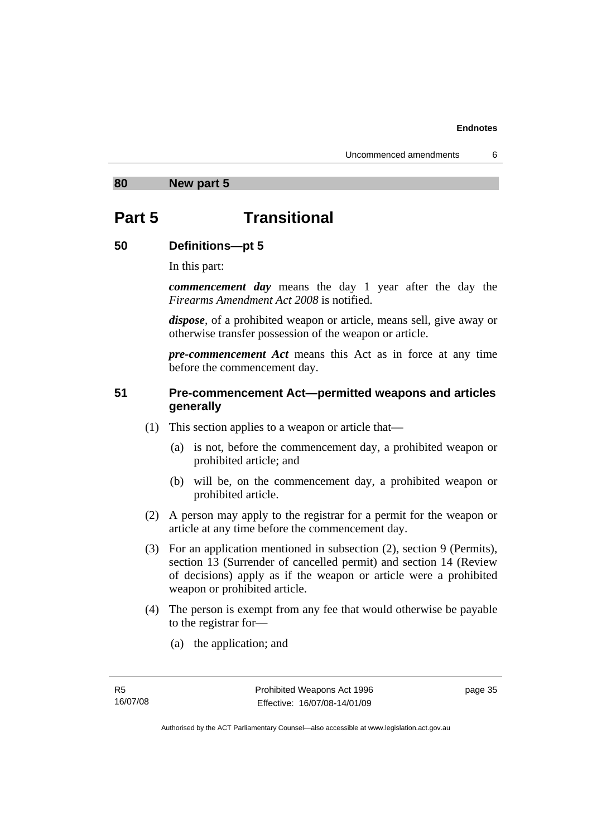**80 New part 5** 

## **Part 5 Transitional**

## **50 Definitions—pt 5**

In this part:

*commencement day* means the day 1 year after the day the *Firearms Amendment Act 2008* is notified.

*dispose*, of a prohibited weapon or article, means sell, give away or otherwise transfer possession of the weapon or article.

*pre-commencement Act* means this Act as in force at any time before the commencement day.

## **51 Pre-commencement Act—permitted weapons and articles generally**

- (1) This section applies to a weapon or article that—
	- (a) is not, before the commencement day, a prohibited weapon or prohibited article; and
	- (b) will be, on the commencement day, a prohibited weapon or prohibited article.
- (2) A person may apply to the registrar for a permit for the weapon or article at any time before the commencement day.
- (3) For an application mentioned in subsection (2), section 9 (Permits), section 13 (Surrender of cancelled permit) and section 14 (Review of decisions) apply as if the weapon or article were a prohibited weapon or prohibited article.
- (4) The person is exempt from any fee that would otherwise be payable to the registrar for—
	- (a) the application; and

page 35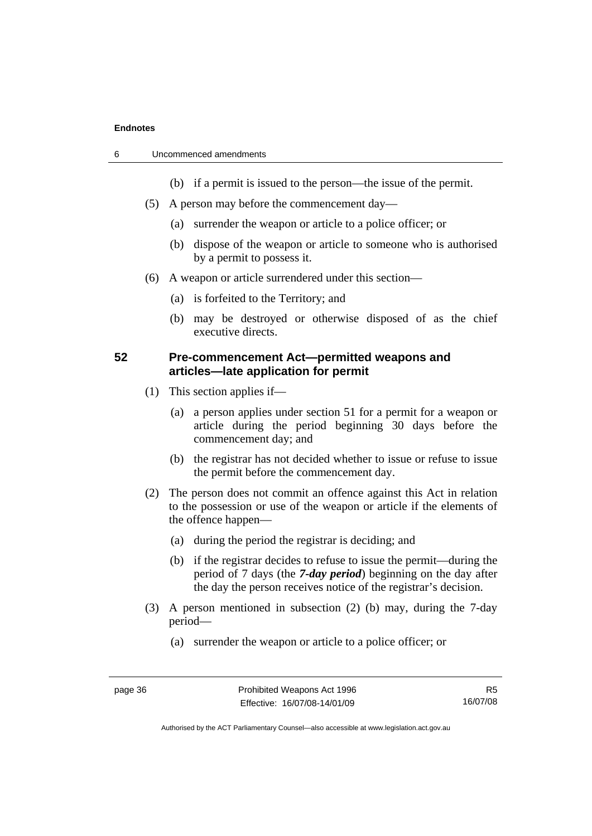| 6 | Uncommenced amendments |
|---|------------------------|
|---|------------------------|

- (b) if a permit is issued to the person—the issue of the permit.
- (5) A person may before the commencement day—
	- (a) surrender the weapon or article to a police officer; or
	- (b) dispose of the weapon or article to someone who is authorised by a permit to possess it.
- (6) A weapon or article surrendered under this section—
	- (a) is forfeited to the Territory; and
	- (b) may be destroyed or otherwise disposed of as the chief executive directs.

## **52 Pre-commencement Act—permitted weapons and articles—late application for permit**

- (1) This section applies if—
	- (a) a person applies under section 51 for a permit for a weapon or article during the period beginning 30 days before the commencement day; and
	- (b) the registrar has not decided whether to issue or refuse to issue the permit before the commencement day.
- (2) The person does not commit an offence against this Act in relation to the possession or use of the weapon or article if the elements of the offence happen—
	- (a) during the period the registrar is deciding; and
	- (b) if the registrar decides to refuse to issue the permit—during the period of 7 days (the *7-day period*) beginning on the day after the day the person receives notice of the registrar's decision.
- (3) A person mentioned in subsection (2) (b) may, during the 7-day period—
	- (a) surrender the weapon or article to a police officer; or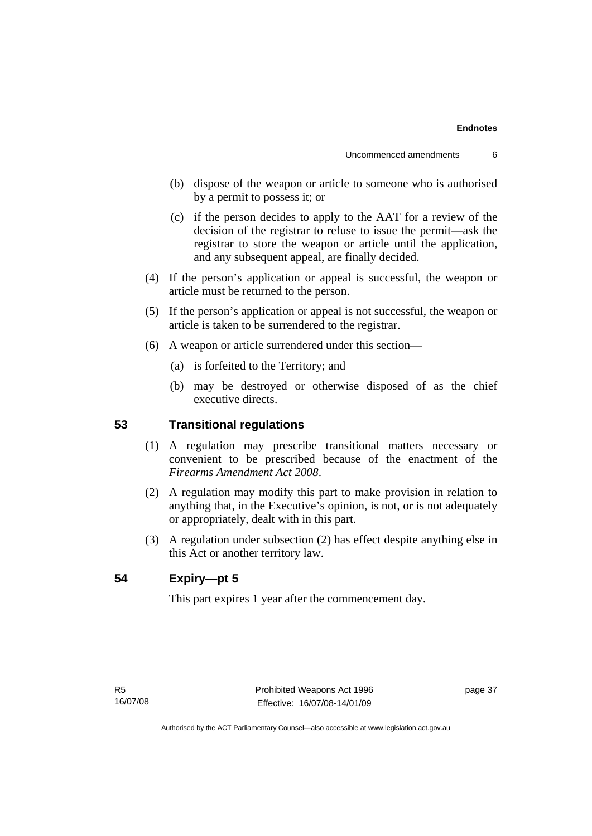- (b) dispose of the weapon or article to someone who is authorised by a permit to possess it; or
- (c) if the person decides to apply to the AAT for a review of the decision of the registrar to refuse to issue the permit—ask the registrar to store the weapon or article until the application, and any subsequent appeal, are finally decided.
- (4) If the person's application or appeal is successful, the weapon or article must be returned to the person.
- (5) If the person's application or appeal is not successful, the weapon or article is taken to be surrendered to the registrar.
- (6) A weapon or article surrendered under this section—
	- (a) is forfeited to the Territory; and
	- (b) may be destroyed or otherwise disposed of as the chief executive directs.

### **53 Transitional regulations**

- (1) A regulation may prescribe transitional matters necessary or convenient to be prescribed because of the enactment of the *Firearms Amendment Act 2008*.
- (2) A regulation may modify this part to make provision in relation to anything that, in the Executive's opinion, is not, or is not adequately or appropriately, dealt with in this part.
- (3) A regulation under subsection (2) has effect despite anything else in this Act or another territory law.

## **54 Expiry—pt 5**

This part expires 1 year after the commencement day.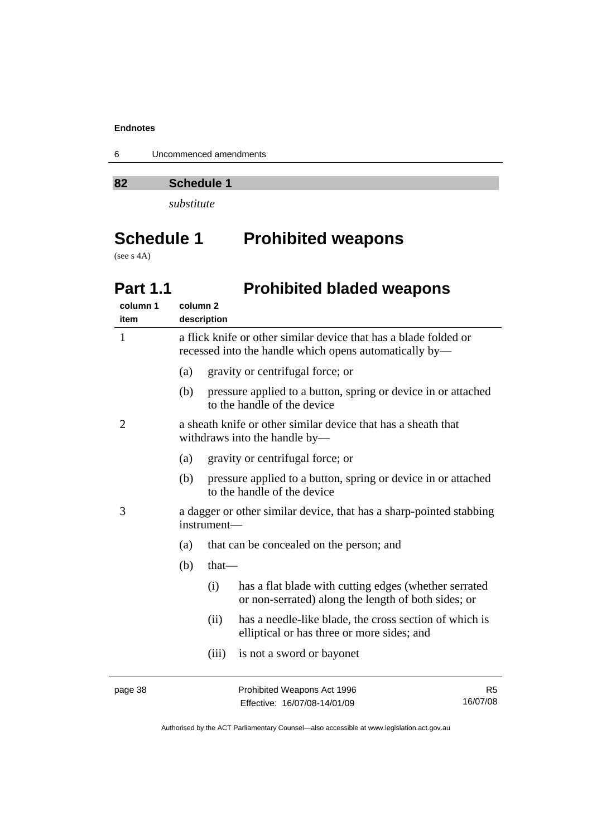6 Uncommenced amendments

**82 Schedule 1** 

*substitute* 

# **Schedule 1 Prohibited weapons**

(see s 4A)

## **Part 1.1** Prohibited bladed weapons

| column 1<br>item | column <sub>2</sub> | description |                                                                                                                            |                            |
|------------------|---------------------|-------------|----------------------------------------------------------------------------------------------------------------------------|----------------------------|
| 1                |                     |             | a flick knife or other similar device that has a blade folded or<br>recessed into the handle which opens automatically by— |                            |
|                  | (a)                 |             | gravity or centrifugal force; or                                                                                           |                            |
|                  | (b)                 |             | pressure applied to a button, spring or device in or attached<br>to the handle of the device                               |                            |
| $\overline{2}$   |                     |             | a sheath knife or other similar device that has a sheath that<br>withdraws into the handle by-                             |                            |
|                  | (a)                 |             | gravity or centrifugal force; or                                                                                           |                            |
|                  | (b)                 |             | pressure applied to a button, spring or device in or attached<br>to the handle of the device                               |                            |
| 3                |                     | instrument- | a dagger or other similar device, that has a sharp-pointed stabbing                                                        |                            |
|                  | (a)                 |             | that can be concealed on the person; and                                                                                   |                            |
|                  | (b)                 | $that$ —    |                                                                                                                            |                            |
|                  |                     | (i)         | has a flat blade with cutting edges (whether serrated<br>or non-serrated) along the length of both sides; or               |                            |
|                  |                     | (ii)        | has a needle-like blade, the cross section of which is<br>elliptical or has three or more sides; and                       |                            |
|                  |                     | (iii)       | is not a sword or bayonet                                                                                                  |                            |
| page 38          |                     |             | Prohibited Weapons Act 1996<br>Effective: 16/07/08-14/01/09                                                                | R <sub>5</sub><br>16/07/08 |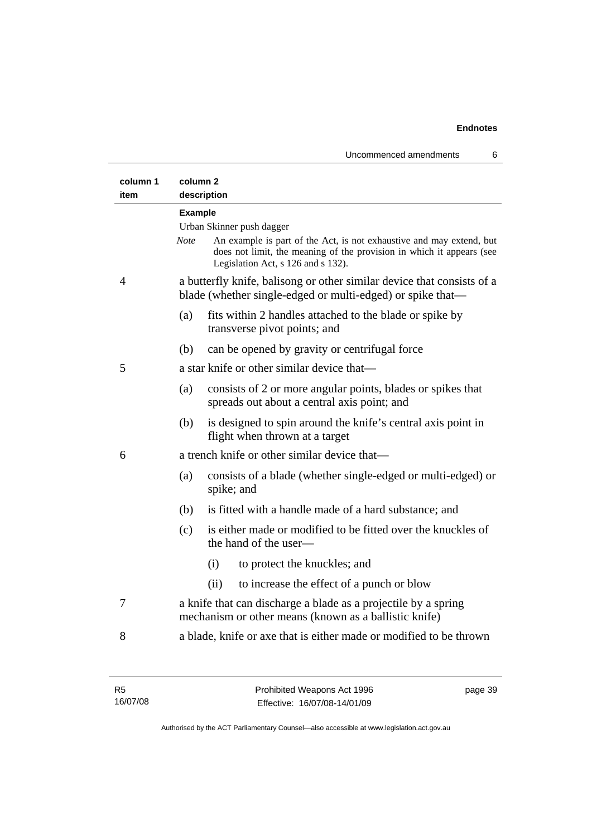Uncommenced amendments 6

| column 1<br>item | column <sub>2</sub><br>description                                                                                                                                                          |
|------------------|---------------------------------------------------------------------------------------------------------------------------------------------------------------------------------------------|
|                  | <b>Example</b>                                                                                                                                                                              |
|                  | Urban Skinner push dagger                                                                                                                                                                   |
|                  | Note<br>An example is part of the Act, is not exhaustive and may extend, but<br>does not limit, the meaning of the provision in which it appears (see<br>Legislation Act, s 126 and s 132). |
| 4                | a butterfly knife, balisong or other similar device that consists of a<br>blade (whether single-edged or multi-edged) or spike that—                                                        |
|                  | (a)<br>fits within 2 handles attached to the blade or spike by<br>transverse pivot points; and                                                                                              |
|                  | (b)<br>can be opened by gravity or centrifugal force                                                                                                                                        |
| 5                | a star knife or other similar device that—                                                                                                                                                  |
|                  | consists of 2 or more angular points, blades or spikes that<br>(a)<br>spreads out about a central axis point; and                                                                           |
|                  | (b)<br>is designed to spin around the knife's central axis point in<br>flight when thrown at a target                                                                                       |
| 6                | a trench knife or other similar device that—                                                                                                                                                |
|                  | (a)<br>consists of a blade (whether single-edged or multi-edged) or<br>spike; and                                                                                                           |
|                  | is fitted with a handle made of a hard substance; and<br>(b)                                                                                                                                |
|                  | is either made or modified to be fitted over the knuckles of<br>(c)<br>the hand of the user-                                                                                                |
|                  | (i)<br>to protect the knuckles; and                                                                                                                                                         |
|                  | to increase the effect of a punch or blow<br>(ii)                                                                                                                                           |
| 7                | a knife that can discharge a blade as a projectile by a spring<br>mechanism or other means (known as a ballistic knife)                                                                     |
| 8                | a blade, knife or axe that is either made or modified to be thrown                                                                                                                          |

R5 16/07/08 page 39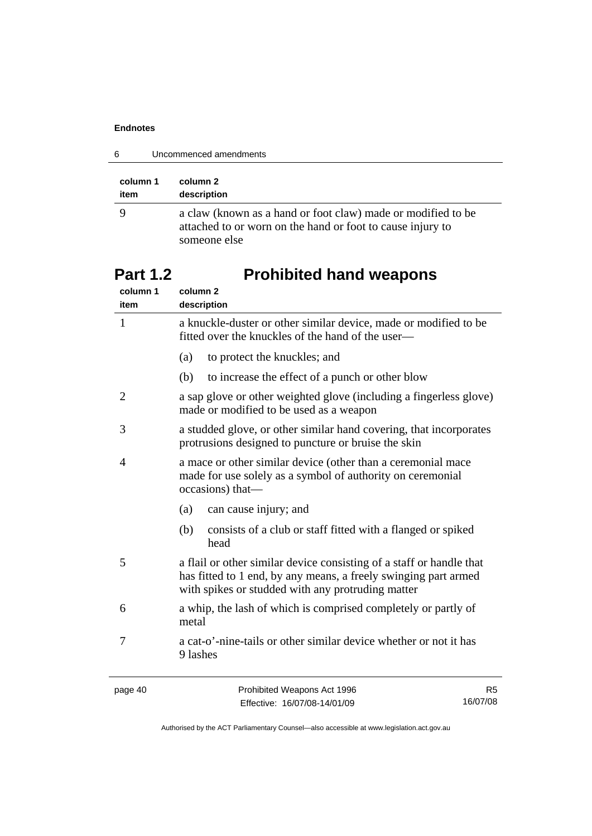| 6<br>Uncommenced amendments |                                                                                                                                            |  |
|-----------------------------|--------------------------------------------------------------------------------------------------------------------------------------------|--|
| column 1<br>item            | column 2<br>description                                                                                                                    |  |
|                             | a claw (known as a hand or foot claw) made or modified to be<br>attached to or worn on the hand or foot to cause injury to<br>someone else |  |

# Part 1.2 **Prohibited hand weapons**

| column 1<br>item | column <sub>2</sub><br>description                                                                                                                                                           |
|------------------|----------------------------------------------------------------------------------------------------------------------------------------------------------------------------------------------|
| $\mathbf{1}$     | a knuckle-duster or other similar device, made or modified to be<br>fitted over the knuckles of the hand of the user—                                                                        |
|                  | (a)<br>to protect the knuckles; and                                                                                                                                                          |
|                  | to increase the effect of a punch or other blow<br>(b)                                                                                                                                       |
| 2                | a sap glove or other weighted glove (including a fingerless glove)<br>made or modified to be used as a weapon                                                                                |
| 3                | a studded glove, or other similar hand covering, that incorporates<br>protrusions designed to puncture or bruise the skin                                                                    |
| 4                | a mace or other similar device (other than a ceremonial mace<br>made for use solely as a symbol of authority on ceremonial<br>occasions) that-                                               |
|                  | (a)<br>can cause injury; and                                                                                                                                                                 |
|                  | consists of a club or staff fitted with a flanged or spiked<br>(b)<br>head                                                                                                                   |
| 5                | a flail or other similar device consisting of a staff or handle that<br>has fitted to 1 end, by any means, a freely swinging part armed<br>with spikes or studded with any protruding matter |
| 6                | a whip, the lash of which is comprised completely or partly of<br>metal                                                                                                                      |
| 7                | a cat-o'-nine-tails or other similar device whether or not it has<br>9 lashes                                                                                                                |
|                  |                                                                                                                                                                                              |

page 40 **Prohibited Weapons Act 1996** Effective: 16/07/08-14/01/09

R5 16/07/08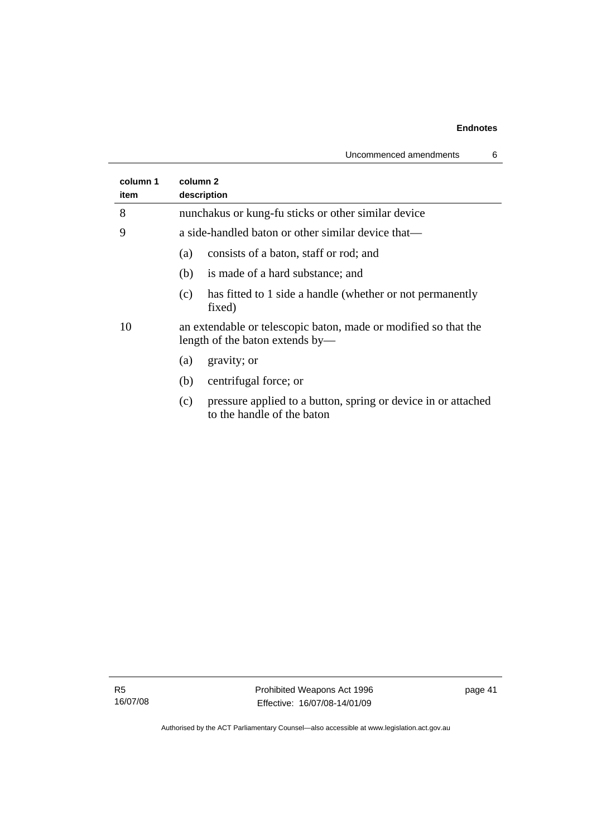| column 1<br>item | column 2<br>description                                                                            |
|------------------|----------------------------------------------------------------------------------------------------|
| 8                | nunchakus or kung-fu sticks or other similar device                                                |
| 9                | a side-handled baton or other similar device that—                                                 |
|                  | consists of a baton, staff or rod; and<br>(a)                                                      |
|                  | (b)<br>is made of a hard substance; and                                                            |
|                  | has fitted to 1 side a handle (whether or not permanently<br>(c)<br>fixed)                         |
| 10               | an extendable or telescopic baton, made or modified so that the<br>length of the baton extends by— |
|                  | gravity; or<br>(a)                                                                                 |
|                  | centrifugal force; or<br>(b)                                                                       |
|                  | pressure applied to a button, spring or device in or attached<br>(c)<br>to the handle of the baton |
|                  |                                                                                                    |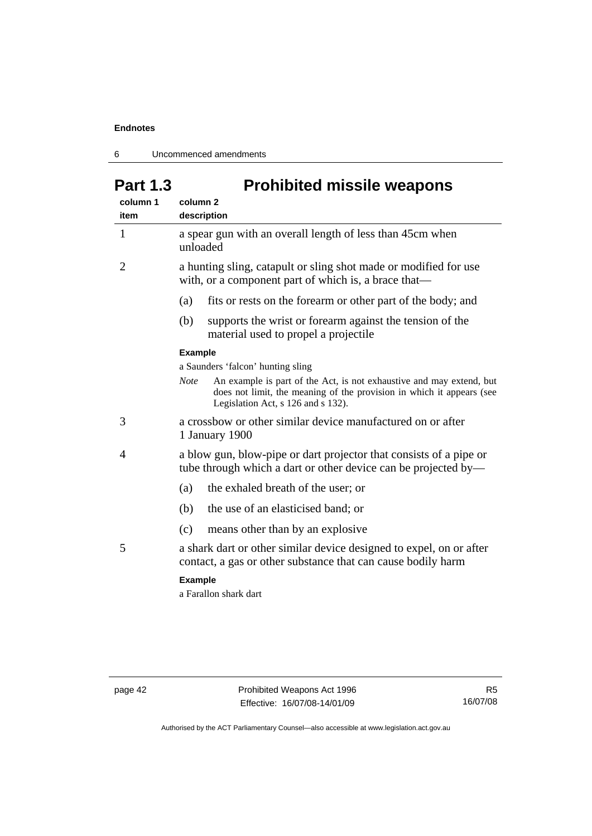6 Uncommenced amendments

# Part 1.3 **Prohibited missile weapons**

| column 1<br>item | column <sub>2</sub><br>description                                                                                                                                                                 |  |
|------------------|----------------------------------------------------------------------------------------------------------------------------------------------------------------------------------------------------|--|
| 1                | a spear gun with an overall length of less than 45cm when<br>unloaded                                                                                                                              |  |
| 2                | a hunting sling, catapult or sling shot made or modified for use<br>with, or a component part of which is, a brace that—                                                                           |  |
|                  | (a)<br>fits or rests on the forearm or other part of the body; and                                                                                                                                 |  |
|                  | (b)<br>supports the wrist or forearm against the tension of the<br>material used to propel a projectile                                                                                            |  |
|                  | <b>Example</b>                                                                                                                                                                                     |  |
|                  | a Saunders 'falcon' hunting sling                                                                                                                                                                  |  |
|                  | <b>Note</b><br>An example is part of the Act, is not exhaustive and may extend, but<br>does not limit, the meaning of the provision in which it appears (see<br>Legislation Act, s 126 and s 132). |  |
| 3                | a crossbow or other similar device manufactured on or after<br>1 January 1900                                                                                                                      |  |
| 4                | a blow gun, blow-pipe or dart projector that consists of a pipe or<br>tube through which a dart or other device can be projected by—                                                               |  |
|                  | the exhaled breath of the user; or<br>(a)                                                                                                                                                          |  |
|                  | the use of an elasticised band; or<br>(b)                                                                                                                                                          |  |
|                  | means other than by an explosive<br>(c)                                                                                                                                                            |  |
| 5                | a shark dart or other similar device designed to expel, on or after<br>contact, a gas or other substance that can cause bodily harm                                                                |  |
|                  | <b>Example</b><br>a Farallon shark dart                                                                                                                                                            |  |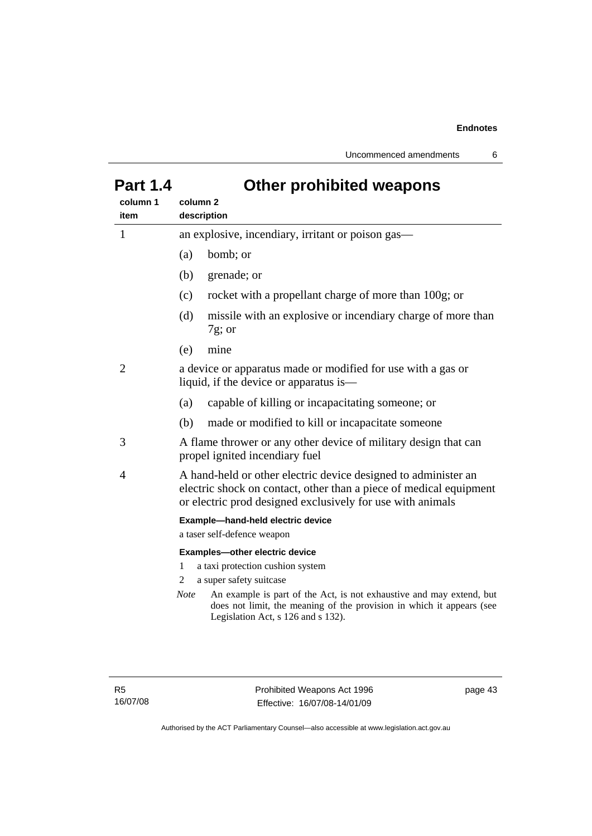Uncommenced amendments 6

|          | סטושוווט וק וטווי                                                                                                                                                                                                                                                                                             |  |  |
|----------|---------------------------------------------------------------------------------------------------------------------------------------------------------------------------------------------------------------------------------------------------------------------------------------------------------------|--|--|
| column 1 | column <sub>2</sub>                                                                                                                                                                                                                                                                                           |  |  |
| item     | description                                                                                                                                                                                                                                                                                                   |  |  |
| 1        | an explosive, incendiary, irritant or poison gas—                                                                                                                                                                                                                                                             |  |  |
|          | bomb; or<br>(a)                                                                                                                                                                                                                                                                                               |  |  |
|          | (b)<br>grenade; or                                                                                                                                                                                                                                                                                            |  |  |
|          | rocket with a propellant charge of more than 100g; or<br>(c)                                                                                                                                                                                                                                                  |  |  |
|          | (d)<br>missile with an explosive or incendiary charge of more than<br>$7g$ ; or                                                                                                                                                                                                                               |  |  |
|          | mine<br>(e)                                                                                                                                                                                                                                                                                                   |  |  |
| 2        | a device or apparatus made or modified for use with a gas or<br>liquid, if the device or apparatus is—                                                                                                                                                                                                        |  |  |
|          | capable of killing or incapacitating someone; or<br>(a)                                                                                                                                                                                                                                                       |  |  |
|          | (b)<br>made or modified to kill or incapacitate someone                                                                                                                                                                                                                                                       |  |  |
| 3        | A flame thrower or any other device of military design that can<br>propel ignited incendiary fuel                                                                                                                                                                                                             |  |  |
| 4        | A hand-held or other electric device designed to administer an<br>electric shock on contact, other than a piece of medical equipment<br>or electric prod designed exclusively for use with animals                                                                                                            |  |  |
|          | Example-hand-held electric device<br>a taser self-defence weapon                                                                                                                                                                                                                                              |  |  |
|          | Examples-other electric device<br>a taxi protection cushion system<br>1<br>a super safety suitcase<br>2<br>An example is part of the Act, is not exhaustive and may extend, but<br><b>Note</b><br>does not limit, the meaning of the provision in which it appears (see<br>Legislation Act, s 126 and s 132). |  |  |
|          |                                                                                                                                                                                                                                                                                                               |  |  |

## **Part 1.4 Other prohibited weapons**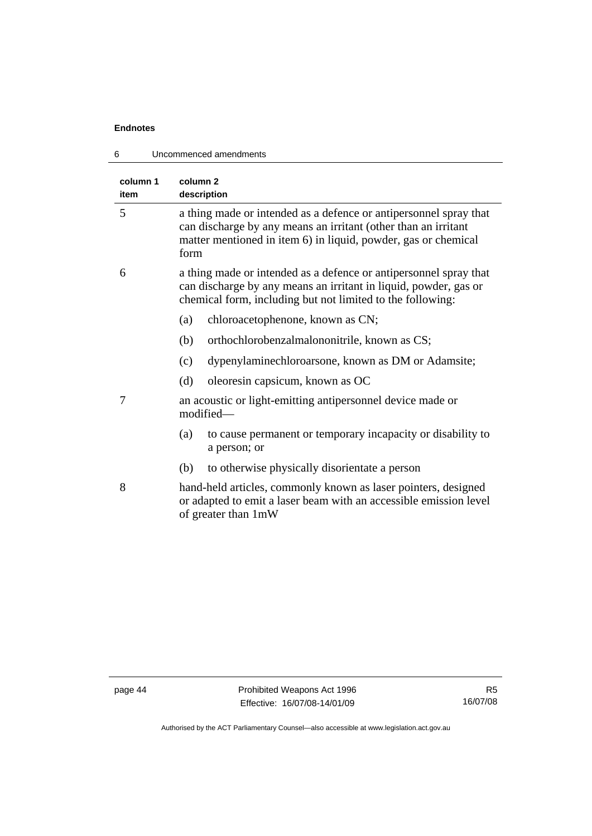| Uncommenced amendments<br>6 |                                                                                                                                                                                                               |  |
|-----------------------------|---------------------------------------------------------------------------------------------------------------------------------------------------------------------------------------------------------------|--|
| column 1<br>item            | column 2<br>description                                                                                                                                                                                       |  |
| 5                           | a thing made or intended as a defence or antipersonnel spray that<br>can discharge by any means an irritant (other than an irritant<br>matter mentioned in item 6) in liquid, powder, gas or chemical<br>form |  |
| 6                           | a thing made or intended as a defence or antipersonnel spray that<br>can discharge by any means an irritant in liquid, powder, gas or<br>chemical form, including but not limited to the following:           |  |
|                             | chloroacetophenone, known as CN;<br>(a)                                                                                                                                                                       |  |
|                             | orthochlorobenzalmalononitrile, known as CS;<br>(b)                                                                                                                                                           |  |
|                             | dypenylaminechloroarsone, known as DM or Adamsite;<br>(c)                                                                                                                                                     |  |
|                             | (d)<br>oleoresin capsicum, known as OC                                                                                                                                                                        |  |
| 7                           | an acoustic or light-emitting antipersonnel device made or<br>modified-                                                                                                                                       |  |
|                             | to cause permanent or temporary incapacity or disability to<br>(a)<br>a person; or                                                                                                                            |  |
|                             | to otherwise physically disorientate a person<br>(b)                                                                                                                                                          |  |
| 8                           | hand-held articles, commonly known as laser pointers, designed<br>or adapted to emit a laser beam with an accessible emission level<br>of greater than 1mW                                                    |  |
|                             |                                                                                                                                                                                                               |  |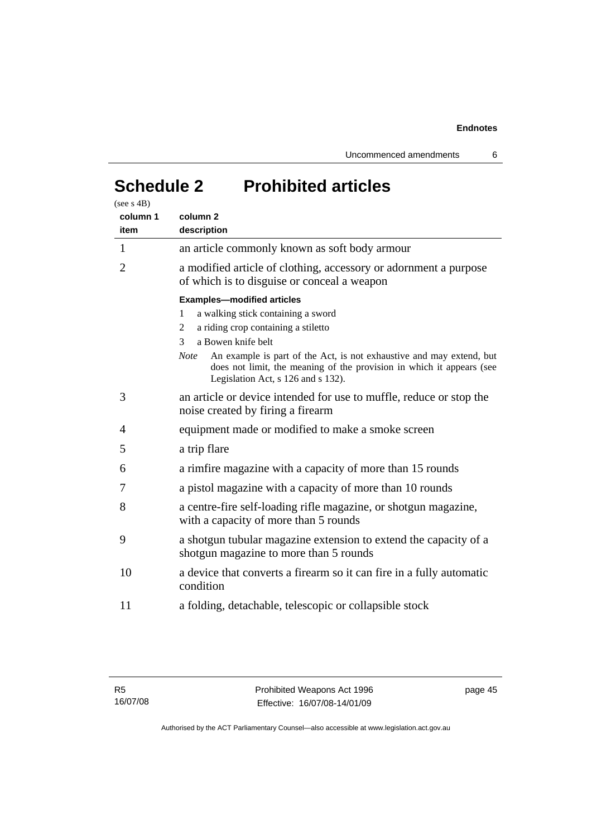Uncommenced amendments 6

# **Schedule 2 Prohibited articles**

| column 1<br>item | column <sub>2</sub><br>description                                                                                                                                                                 |
|------------------|----------------------------------------------------------------------------------------------------------------------------------------------------------------------------------------------------|
| 1                | an article commonly known as soft body armour                                                                                                                                                      |
| $\overline{2}$   | a modified article of clothing, accessory or adornment a purpose<br>of which is to disguise or conceal a weapon                                                                                    |
|                  | <b>Examples-modified articles</b><br>a walking stick containing a sword<br>1<br>a riding crop containing a stiletto<br>2<br>a Bowen knife belt<br>3                                                |
|                  | An example is part of the Act, is not exhaustive and may extend, but<br><b>Note</b><br>does not limit, the meaning of the provision in which it appears (see<br>Legislation Act, s 126 and s 132). |
| 3                | an article or device intended for use to muffle, reduce or stop the<br>noise created by firing a firearm                                                                                           |
| 4                | equipment made or modified to make a smoke screen                                                                                                                                                  |
| 5                | a trip flare                                                                                                                                                                                       |
| 6                | a rimfire magazine with a capacity of more than 15 rounds                                                                                                                                          |
| 7                | a pistol magazine with a capacity of more than 10 rounds                                                                                                                                           |
| 8                | a centre-fire self-loading rifle magazine, or shotgun magazine,<br>with a capacity of more than 5 rounds                                                                                           |
| 9                | a shotgun tubular magazine extension to extend the capacity of a<br>shotgun magazine to more than 5 rounds                                                                                         |
| 10               | a device that converts a firearm so it can fire in a fully automatic<br>condition                                                                                                                  |
| 11               | a folding, detachable, telescopic or collapsible stock                                                                                                                                             |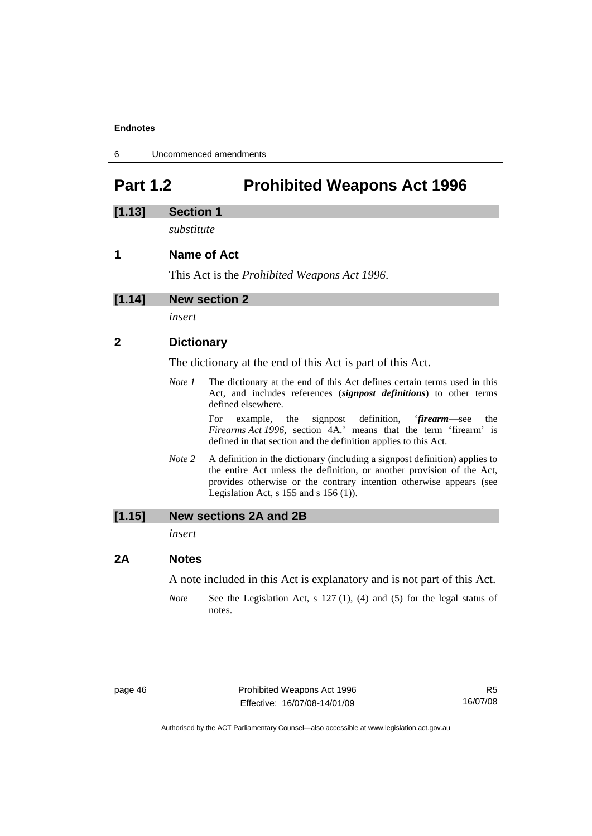6 Uncommenced amendments

## **Part 1.2 Prohibited Weapons Act 1996**

## **[1.13] Section 1**

*substitute* 

## **1 Name of Act**

This Act is the *Prohibited Weapons Act 1996*.

*insert* 

## **2 Dictionary**

The dictionary at the end of this Act is part of this Act.

*Note 1* The dictionary at the end of this Act defines certain terms used in this Act, and includes references (*signpost definitions*) to other terms defined elsewhere.

> For example, the signpost definition, '*firearm*—see the *Firearms Act 1996*, section 4A.' means that the term 'firearm' is defined in that section and the definition applies to this Act.

*Note* 2 A definition in the dictionary (including a signpost definition) applies to the entire Act unless the definition, or another provision of the Act, provides otherwise or the contrary intention otherwise appears (see Legislation Act,  $s$  155 and  $s$  156 (1)).

#### **[1.15] New sections 2A and 2B**

*insert* 

#### **2A Notes**

A note included in this Act is explanatory and is not part of this Act.

*Note* See the Legislation Act, s 127 (1), (4) and (5) for the legal status of notes.

page 46 **Prohibited Weapons Act 1996** Effective: 16/07/08-14/01/09

R5 16/07/08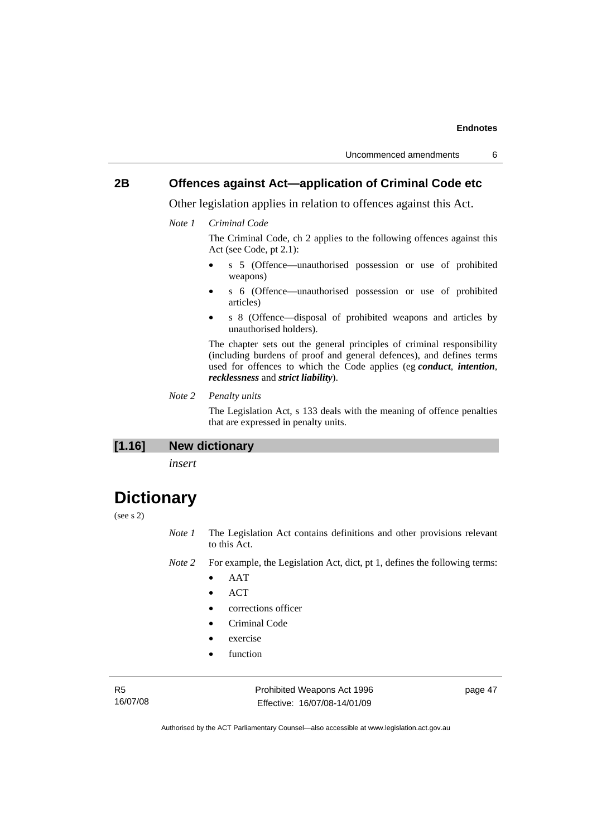## **2B Offences against Act—application of Criminal Code etc**

Other legislation applies in relation to offences against this Act.

*Note 1 Criminal Code*

The Criminal Code, ch 2 applies to the following offences against this Act (see Code, pt 2.1):

- s 5 (Offence—unauthorised possession or use of prohibited weapons)
- s 6 (Offence—unauthorised possession or use of prohibited articles)
- s 8 (Offence—disposal of prohibited weapons and articles by unauthorised holders).

The chapter sets out the general principles of criminal responsibility (including burdens of proof and general defences), and defines terms used for offences to which the Code applies (eg *conduct*, *intention*, *recklessness* and *strict liability*).

*Note 2 Penalty units* 

The Legislation Act, s 133 deals with the meaning of offence penalties that are expressed in penalty units.

**[1.16] New dictionary** 

*insert* 

## **Dictionary**

### (see s 2)

- *Note 1* The Legislation Act contains definitions and other provisions relevant to this Act.
- *Note 2* For example, the Legislation Act, dict, pt 1, defines the following terms:
	- AAT
	- ACT
	- corrections officer
	- Criminal Code
	- exercise
	- function

R5 16/07/08 Prohibited Weapons Act 1996 Effective: 16/07/08-14/01/09

page 47